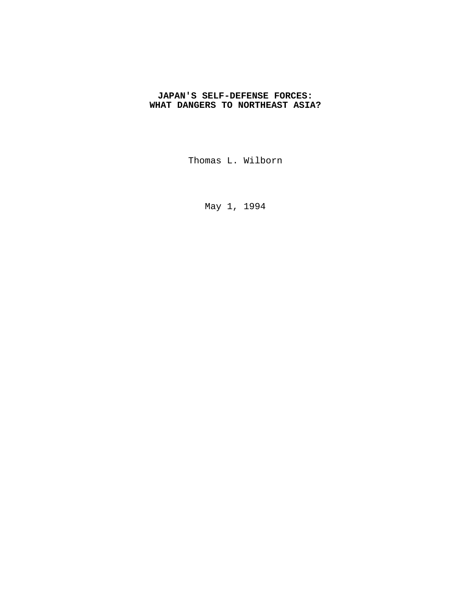## **JAPAN'S SELF-DEFENSE FORCES: WHAT DANGERS TO NORTHEAST ASIA?**

Thomas L. Wilborn

May 1, 1994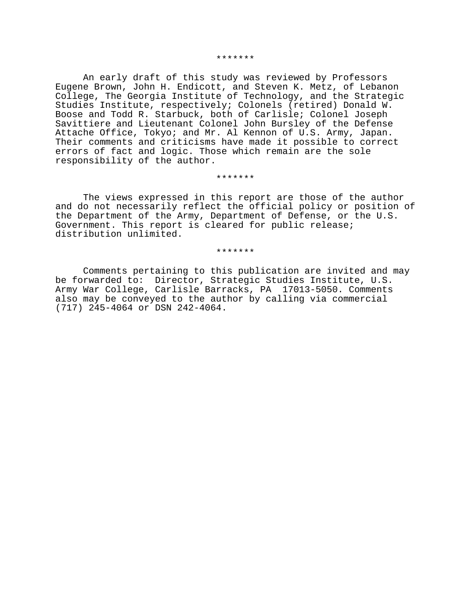#### \*\*\*\*\*\*\*

An early draft of this study was reviewed by Professors Eugene Brown, John H. Endicott, and Steven K. Metz, of Lebanon College, The Georgia Institute of Technology, and the Strategic Studies Institute, respectively; Colonels (retired) Donald W. Boose and Todd R. Starbuck, both of Carlisle; Colonel Joseph Savittiere and Lieutenant Colonel John Bursley of the Defense Attache Office, Tokyo; and Mr. Al Kennon of U.S. Army, Japan. Their comments and criticisms have made it possible to correct errors of fact and logic. Those which remain are the sole responsibility of the author.

#### \*\*\*\*\*\*\*

The views expressed in this report are those of the author and do not necessarily reflect the official policy or position of the Department of the Army, Department of Defense, or the U.S. Government. This report is cleared for public release; distribution unlimited.

\*\*\*\*\*\*\*

Comments pertaining to this publication are invited and may be forwarded to: Director, Strategic Studies Institute, U.S. Army War College, Carlisle Barracks, PA 17013-5050. Comments also may be conveyed to the author by calling via commercial (717) 245-4064 or DSN 242-4064.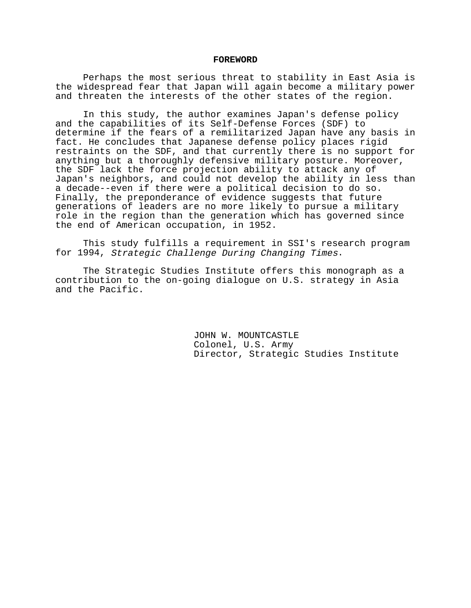#### **FOREWORD**

Perhaps the most serious threat to stability in East Asia is the widespread fear that Japan will again become a military power and threaten the interests of the other states of the region.

In this study, the author examines Japan's defense policy and the capabilities of its Self-Defense Forces (SDF) to determine if the fears of a remilitarized Japan have any basis in fact. He concludes that Japanese defense policy places rigid restraints on the SDF, and that currently there is no support for anything but a thoroughly defensive military posture. Moreover, the SDF lack the force projection ability to attack any of Japan's neighbors, and could not develop the ability in less than a decade--even if there were a political decision to do so. Finally, the preponderance of evidence suggests that future generations of leaders are no more likely to pursue a military role in the region than the generation which has governed since the end of American occupation, in 1952.

This study fulfills a requirement in SSI's research program for 1994, Strategic Challenge During Changing Times.

The Strategic Studies Institute offers this monograph as a contribution to the on-going dialogue on U.S. strategy in Asia and the Pacific.

> JOHN W. MOUNTCASTLE Colonel, U.S. Army Director, Strategic Studies Institute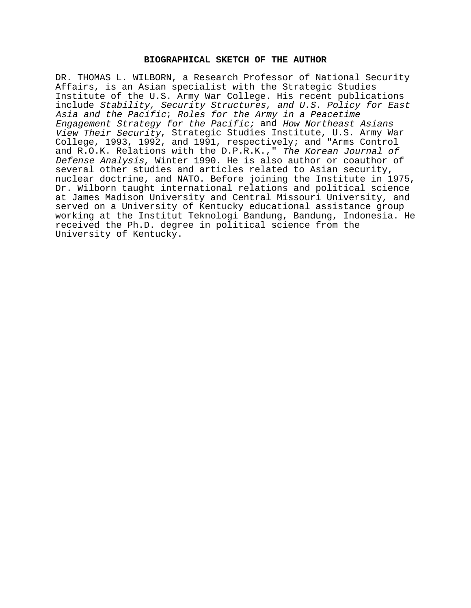## **BIOGRAPHICAL SKETCH OF THE AUTHOR**

DR. THOMAS L. WILBORN, a Research Professor of National Security Affairs, is an Asian specialist with the Strategic Studies Institute of the U.S. Army War College. His recent publications include Stability, Security Structures, and U.S. Policy for East Asia and the Pacific; Roles for the Army in a Peacetime Engagement Strategy for the Pacific; and How Northeast Asians View Their Security, Strategic Studies Institute, U.S. Army War College, 1993, 1992, and 1991, respectively; and "Arms Control and R.O.K. Relations with the D.P.R.K.," The Korean Journal of Defense Analysis, Winter 1990. He is also author or coauthor of several other studies and articles related to Asian security, nuclear doctrine, and NATO. Before joining the Institute in 1975, Dr. Wilborn taught international relations and political science at James Madison University and Central Missouri University, and served on a University of Kentucky educational assistance group working at the Institut Teknologi Bandung, Bandung, Indonesia. He received the Ph.D. degree in political science from the University of Kentucky.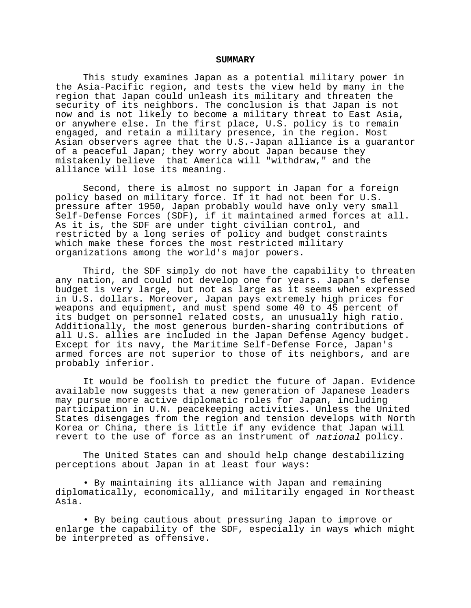#### **SUMMARY**

This study examines Japan as a potential military power in the Asia-Pacific region, and tests the view held by many in the region that Japan could unleash its military and threaten the security of its neighbors. The conclusion is that Japan is not now and is not likely to become a military threat to East Asia, or anywhere else. In the first place, U.S. policy is to remain engaged, and retain a military presence, in the region. Most Asian observers agree that the U.S.-Japan alliance is a guarantor of a peaceful Japan; they worry about Japan because they mistakenly believe that America will "withdraw," and the alliance will lose its meaning.

Second, there is almost no support in Japan for a foreign policy based on military force. If it had not been for U.S. pressure after 1950, Japan probably would have only very small Self-Defense Forces (SDF), if it maintained armed forces at all. As it is, the SDF are under tight civilian control, and restricted by a long series of policy and budget constraints which make these forces the most restricted military organizations among the world's major powers.

Third, the SDF simply do not have the capability to threaten any nation, and could not develop one for years. Japan's defense budget is very large, but not as large as it seems when expressed in U.S. dollars. Moreover, Japan pays extremely high prices for weapons and equipment, and must spend some 40 to 45 percent of its budget on personnel related costs, an unusually high ratio. Additionally, the most generous burden-sharing contributions of all U.S. allies are included in the Japan Defense Agency budget. Except for its navy, the Maritime Self-Defense Force, Japan's armed forces are not superior to those of its neighbors, and are probably inferior.

It would be foolish to predict the future of Japan. Evidence available now suggests that a new generation of Japanese leaders may pursue more active diplomatic roles for Japan, including participation in U.N. peacekeeping activities. Unless the United States disengages from the region and tension develops with North Korea or China, there is little if any evidence that Japan will revert to the use of force as an instrument of national policy.

The United States can and should help change destabilizing perceptions about Japan in at least four ways:

• By maintaining its alliance with Japan and remaining diplomatically, economically, and militarily engaged in Northeast Asia.

• By being cautious about pressuring Japan to improve or enlarge the capability of the SDF, especially in ways which might be interpreted as offensive.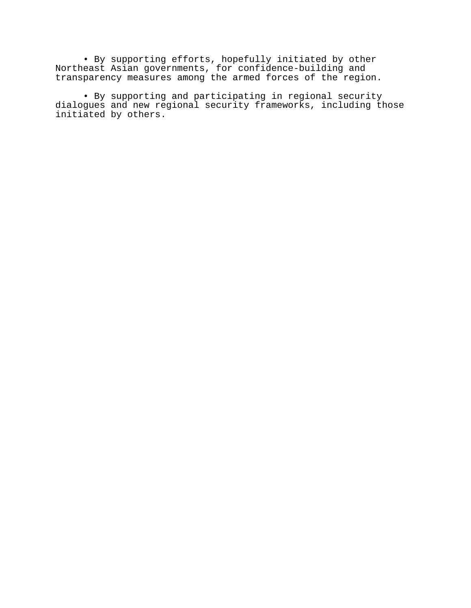• By supporting efforts, hopefully initiated by other Northeast Asian governments, for confidence-building and transparency measures among the armed forces of the region.

• By supporting and participating in regional security dialogues and new regional security frameworks, including those initiated by others.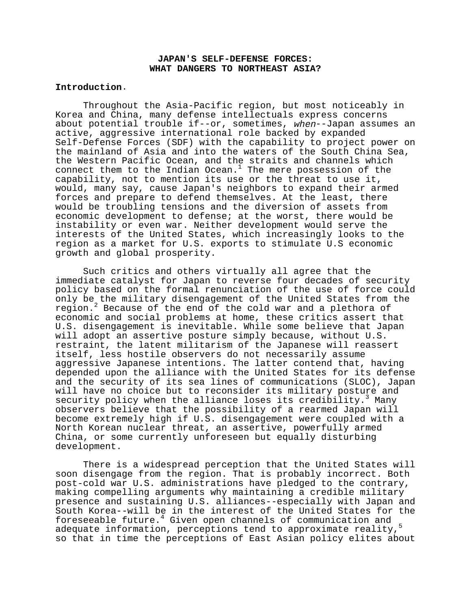## **JAPAN'S SELF-DEFENSE FORCES: WHAT DANGERS TO NORTHEAST ASIA?**

### **Introduction**.

Throughout the Asia-Pacific region, but most noticeably in Korea and China, many defense intellectuals express concerns about potential trouble if--or, sometimes, when--Japan assumes an active, aggressive international role backed by expanded Self-Defense Forces (SDF) with the capability to project power on the mainland of Asia and into the waters of the South China Sea, the Western Pacific Ocean, and the straits and channels which connect them to the Indian Ocean. $1$  The mere possession of the capability, not to mention its use or the threat to use it, would, many say, cause Japan's neighbors to expand their armed forces and prepare to defend themselves. At the least, there would be troubling tensions and the diversion of assets from economic development to defense; at the worst, there would be instability or even war. Neither development would serve the interests of the United States, which increasingly looks to the region as a market for U.S. exports to stimulate U.S economic growth and global prosperity.

Such critics and others virtually all agree that the immediate catalyst for Japan to reverse four decades of security policy based on the formal renunciation of the use of force could only be the military disengagement of the United States from the region.<sup>2</sup> Because of the end of the cold war and a plethora of economic and social problems at home, these critics assert that U.S. disengagement is inevitable. While some believe that Japan will adopt an assertive posture simply because, without U.S. restraint, the latent militarism of the Japanese will reassert itself, less hostile observers do not necessarily assume aggressive Japanese intentions. The latter contend that, having depended upon the alliance with the United States for its defense and the security of its sea lines of communications (SLOC), Japan will have no choice but to reconsider its military posture and  $s$ ecurity policy when the alliance loses its credibility.<sup>3</sup> Many observers believe that the possibility of a rearmed Japan will become extremely high if U.S. disengagement were coupled with a North Korean nuclear threat, an assertive, powerfully armed China, or some currently unforeseen but equally disturbing development.

There is a widespread perception that the United States will soon disengage from the region. That is probably incorrect. Both post-cold war U.S. administrations have pledged to the contrary, making compelling arguments why maintaining a credible military presence and sustaining U.S. alliances--especially with Japan and South Korea--will be in the interest of the United States for the foreseeable future.<sup>4</sup> Given open channels of communication and adequate information, perceptions tend to approximate reality,<sup>5</sup> so that in time the perceptions of East Asian policy elites about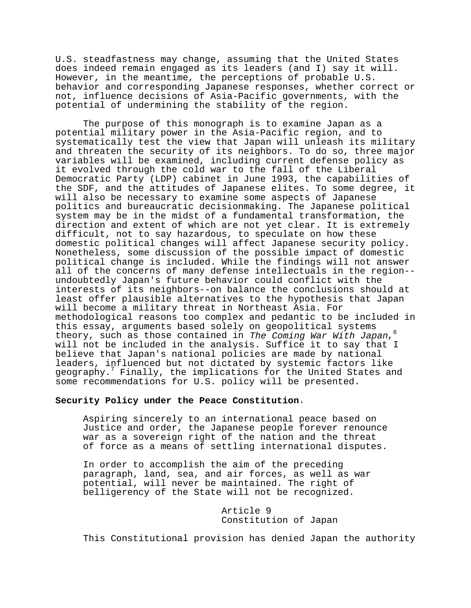U.S. steadfastness may change, assuming that the United States does indeed remain engaged as its leaders (and I) say it will. However, in the meantime, the perceptions of probable U.S. behavior and corresponding Japanese responses, whether correct or not, influence decisions of Asia-Pacific governments, with the potential of undermining the stability of the region.

The purpose of this monograph is to examine Japan as a potential military power in the Asia-Pacific region, and to systematically test the view that Japan will unleash its military and threaten the security of its neighbors. To do so, three major variables will be examined, including current defense policy as it evolved through the cold war to the fall of the Liberal Democratic Party (LDP) cabinet in June 1993, the capabilities of the SDF, and the attitudes of Japanese elites. To some degree, it will also be necessary to examine some aspects of Japanese politics and bureaucratic decisionmaking. The Japanese political system may be in the midst of a fundamental transformation, the direction and extent of which are not yet clear. It is extremely difficult, not to say hazardous, to speculate on how these domestic political changes will affect Japanese security policy. Nonetheless, some discussion of the possible impact of domestic political change is included. While the findings will not answer all of the concerns of many defense intellectuals in the region- undoubtedly Japan's future behavior could conflict with the interests of its neighbors--on balance the conclusions should at least offer plausible alternatives to the hypothesis that Japan will become a military threat in Northeast Asia. For methodological reasons too complex and pedantic to be included in this essay, arguments based solely on geopolitical systems theory, such as those contained in The Coming War With Japan,  $6$ will not be included in the analysis. Suffice it to say that I believe that Japan's national policies are made by national leaders, influenced but not dictated by systemic factors like geography.<sup>7</sup> Finally, the implications for the United States and some recommendations for U.S. policy will be presented.

### **Security Policy under the Peace Constitution**.

Aspiring sincerely to an international peace based on Justice and order, the Japanese people forever renounce war as a sovereign right of the nation and the threat of force as a means of settling international disputes.

In order to accomplish the aim of the preceding paragraph, land, sea, and air forces, as well as war potential, will never be maintained. The right of belligerency of the State will not be recognized.

> Article 9 Constitution of Japan

This Constitutional provision has denied Japan the authority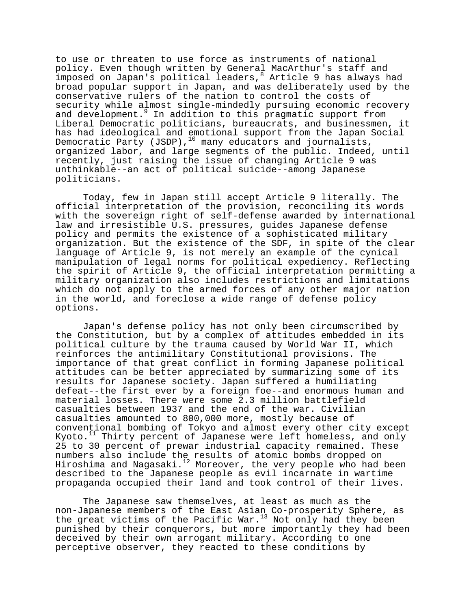to use or threaten to use force as instruments of national policy. Even though written by General MacArthur's staff and imposed on Japan's political leaders, <sup>8</sup> Article 9 has always had broad popular support in Japan, and was deliberately used by the conservative rulers of the nation to control the costs of security while almost single-mindedly pursuing economic recovery and development.<sup>9</sup> In addition to this pragmatic support from Liberal Democratic politicians, bureaucrats, and businessmen, it has had ideological and emotional support from the Japan Social Democratic Party (JSDP),<sup>10</sup> many educators and journalists, organized labor, and large segments of the public. Indeed, until recently, just raising the issue of changing Article 9 was unthinkable--an act of political suicide--among Japanese politicians.

Today, few in Japan still accept Article 9 literally. The official interpretation of the provision, reconciling its words with the sovereign right of self-defense awarded by international law and irresistible U.S. pressures, guides Japanese defense policy and permits the existence of a sophisticated military organization. But the existence of the SDF, in spite of the clear language of Article 9, is not merely an example of the cynical manipulation of legal norms for political expediency. Reflecting the spirit of Article 9, the official interpretation permitting a military organization also includes restrictions and limitations which do not apply to the armed forces of any other major nation in the world, and foreclose a wide range of defense policy options.

Japan's defense policy has not only been circumscribed by the Constitution, but by a complex of attitudes embedded in its political culture by the trauma caused by World War II, which reinforces the antimilitary Constitutional provisions. The importance of that great conflict in forming Japanese political attitudes can be better appreciated by summarizing some of its results for Japanese society. Japan suffered a humiliating defeat--the first ever by a foreign foe--and enormous human and material losses. There were some 2.3 million battlefield casualties between 1937 and the end of the war. Civilian casualties amounted to 800,000 more, mostly because of conventional bombing of Tokyo and almost every other city except Kyoto.<sup>11</sup> Thirty percent of Japanese were left homeless, and only 25 to 30 percent of prewar industrial capacity remained. These numbers also include the results of atomic bombs dropped on Hiroshima and Nagasaki.<sup>12</sup> Moreover, the very people who had been described to the Japanese people as evil incarnate in wartime propaganda occupied their land and took control of their lives.

The Japanese saw themselves, at least as much as the non-Japanese members of the East Asian Co-prosperity Sphere, as the great victims of the Pacific War.<sup>13</sup> Not only had they been punished by their conquerors, but more importantly they had been deceived by their own arrogant military. According to one perceptive observer, they reacted to these conditions by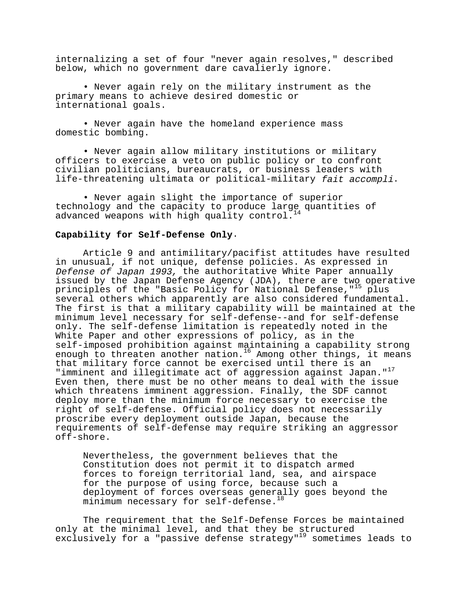internalizing a set of four "never again resolves," described below, which no government dare cavalierly ignore.

• Never again rely on the military instrument as the primary means to achieve desired domestic or international goals.

• Never again have the homeland experience mass domestic bombing.

• Never again allow military institutions or military officers to exercise a veto on public policy or to confront civilian politicians, bureaucrats, or business leaders with life-threatening ultimata or political-military fait accompli.

• Never again slight the importance of superior technology and the capacity to produce large quantities of advanced weapons with high quality control.

## **Capability for Self-Defense Only**.

Article 9 and antimilitary/pacifist attitudes have resulted in unusual, if not unique, defense policies. As expressed in Defense of Japan 1993, the authoritative White Paper annually issued by the Japan Defense Agency (JDA), there are two operative principles of the "Basic Policy for National Defense,"<sup>15</sup> plus several others which apparently are also considered fundamental. The first is that a military capability will be maintained at the minimum level necessary for self-defense--and for self-defense only. The self-defense limitation is repeatedly noted in the White Paper and other expressions of policy, as in the self-imposed prohibition against maintaining a capability strong enough to threaten another nation.<sup>16</sup> Among other things, it means that military force cannot be exercised until there is an "imminent and illegitimate act of aggression against Japan."<sup>17</sup> Even then, there must be no other means to deal with the issue which threatens imminent aggression. Finally, the SDF cannot deploy more than the minimum force necessary to exercise the right of self-defense. Official policy does not necessarily proscribe every deployment outside Japan, because the requirements of self-defense may require striking an aggressor off-shore.

Nevertheless, the government believes that the Constitution does not permit it to dispatch armed forces to foreign territorial land, sea, and airspace for the purpose of using force, because such a deployment of forces overseas generally goes beyond the minimum necessary for self-defense.<sup>18</sup>

The requirement that the Self-Defense Forces be maintained only at the minimal level, and that they be structured exclusively for a "passive defense strategy"<sup>19</sup> sometimes leads to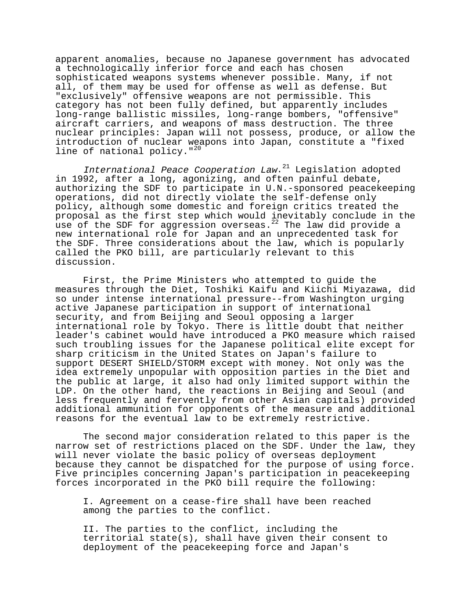apparent anomalies, because no Japanese government has advocated a technologically inferior force and each has chosen sophisticated weapons systems whenever possible. Many, if not all, of them may be used for offense as well as defense. But "exclusively" offensive weapons are not permissible. This category has not been fully defined, but apparently includes long-range ballistic missiles, long-range bombers, "offensive" aircraft carriers, and weapons of mass destruction. The three nuclear principles: Japan will not possess, produce, or allow the introduction of nuclear weapons into Japan, constitute a "fixed line of national policy."<sup>20</sup>

International Peace Cooperation Law.<sup>21</sup> Legislation adopted in 1992, after a long, agonizing, and often painful debate, authorizing the SDF to participate in U.N.-sponsored peacekeeping operations, did not directly violate the self-defense only policy, although some domestic and foreign critics treated the proposal as the first step which would inevitably conclude in the use of the SDF for aggression overseas.<sup>22</sup> The law did provide a new international role for Japan and an unprecedented task for the SDF. Three considerations about the law, which is popularly called the PKO bill, are particularly relevant to this discussion.

First, the Prime Ministers who attempted to guide the measures through the Diet, Toshiki Kaifu and Kiichi Miyazawa, did so under intense international pressure--from Washington urging active Japanese participation in support of international security, and from Beijing and Seoul opposing a larger international role by Tokyo. There is little doubt that neither leader's cabinet would have introduced a PKO measure which raised such troubling issues for the Japanese political elite except for sharp criticism in the United States on Japan's failure to support DESERT SHIELD/STORM except with money. Not only was the idea extremely unpopular with opposition parties in the Diet and the public at large, it also had only limited support within the LDP. On the other hand, the reactions in Beijing and Seoul (and less frequently and fervently from other Asian capitals) provided additional ammunition for opponents of the measure and additional reasons for the eventual law to be extremely restrictive.

The second major consideration related to this paper is the narrow set of restrictions placed on the SDF. Under the law, they will never violate the basic policy of overseas deployment because they cannot be dispatched for the purpose of using force. Five principles concerning Japan's participation in peacekeeping forces incorporated in the PKO bill require the following:

I. Agreement on a cease-fire shall have been reached among the parties to the conflict.

II. The parties to the conflict, including the territorial state(s), shall have given their consent to deployment of the peacekeeping force and Japan's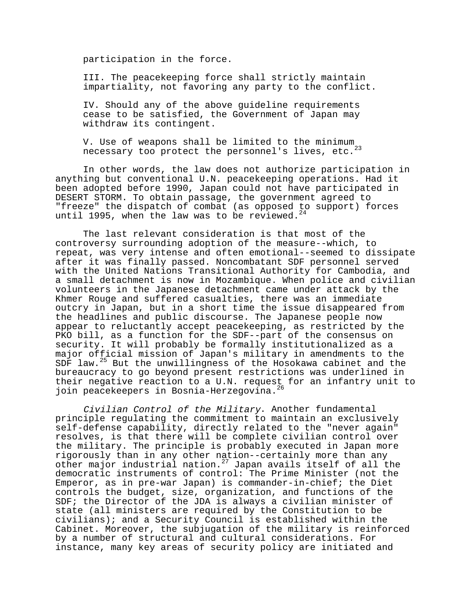participation in the force.

III. The peacekeeping force shall strictly maintain impartiality, not favoring any party to the conflict.

IV. Should any of the above guideline requirements cease to be satisfied, the Government of Japan may withdraw its contingent.

V. Use of weapons shall be limited to the minimum necessary too protect the personnel's lives, etc. $^{23}$ 

In other words, the law does not authorize participation in anything but conventional U.N. peacekeeping operations. Had it been adopted before 1990, Japan could not have participated in DESERT STORM. To obtain passage, the government agreed to "freeze" the dispatch of combat (as opposed to support) forces until 1995, when the law was to be reviewed.<sup>2</sup>

The last relevant consideration is that most of the controversy surrounding adoption of the measure--which, to repeat, was very intense and often emotional--seemed to dissipate after it was finally passed. Noncombatant SDF personnel served with the United Nations Transitional Authority for Cambodia, and a small detachment is now in Mozambique. When police and civilian volunteers in the Japanese detachment came under attack by the Khmer Rouge and suffered casualties, there was an immediate outcry in Japan, but in a short time the issue disappeared from the headlines and public discourse. The Japanese people now appear to reluctantly accept peacekeeping, as restricted by the PKO bill, as a function for the SDF--part of the consensus on security. It will probably be formally institutionalized as a major official mission of Japan's military in amendments to the SDF law.<sup>25</sup> But the unwillingness of the Hosokawa cabinet and the bureaucracy to go beyond present restrictions was underlined in their negative reaction to a U.N. request for an infantry unit to join peacekeepers in Bosnia-Herzegovina.<sup>26</sup>

Civilian Control of the Military. Another fundamental principle regulating the commitment to maintain an exclusively self-defense capability, directly related to the "never again" resolves, is that there will be complete civilian control over the military. The principle is probably executed in Japan more rigorously than in any other nation--certainly more than any other major industrial nation.<sup>27</sup> Japan avails itself of all the democratic instruments of control: The Prime Minister (not the Emperor, as in pre-war Japan) is commander-in-chief; the Diet controls the budget, size, organization, and functions of the SDF; the Director of the JDA is always a civilian minister of state (all ministers are required by the Constitution to be civilians); and a Security Council is established within the Cabinet. Moreover, the subjugation of the military is reinforced by a number of structural and cultural considerations. For instance, many key areas of security policy are initiated and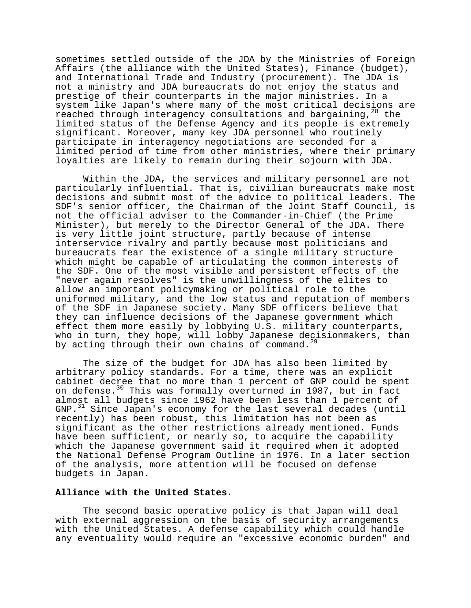sometimes settled outside of the JDA by the Ministries of Foreign Affairs (the alliance with the United States), Finance (budget), and International Trade and Industry (procurement). The JDA is not a ministry and JDA bureaucrats do not enjoy the status and prestige of their counterparts in the major ministries. In a system like Japan's where many of the most critical decisions are reached through interagency consultations and bargaining, <sup>28</sup> the limited status of the Defense Agency and its people is extremely significant. Moreover, many key JDA personnel who routinely participate in interagency negotiations are seconded for a limited period of time from other ministries, where their primary loyalties are likely to remain during their sojourn with JDA.

Within the JDA, the services and military personnel are not particularly influential. That is, civilian bureaucrats make most decisions and submit most of the advice to political leaders. The SDF's senior officer, the Chairman of the Joint Staff Council, is not the official adviser to the Commander-in-Chief (the Prime Minister), but merely to the Director General of the JDA. There is very little joint structure, partly because of intense interservice rivalry and partly because most politicians and bureaucrats fear the existence of a single military structure which might be capable of articulating the common interests of the SDF. One of the most visible and persistent effects of the "never again resolves" is the unwillingness of the elites to allow an important policymaking or political role to the uniformed military, and the low status and reputation of members of the SDF in Japanese society. Many SDF officers believe that they can influence decisions of the Japanese government which effect them more easily by lobbying U.S. military counterparts, who in turn, they hope, will lobby Japanese decisionmakers, than by acting through their own chains of command.<sup>29</sup>

The size of the budget for JDA has also been limited by arbitrary policy standards. For a time, there was an explicit cabinet decree that no more than 1 percent of GNP could be spent on defense.<sup>30</sup> This was formally overturned in 1987, but in fact almost all budgets since 1962 have been less than 1 percent of GNP.31 Since Japan's economy for the last several decades (until recently) has been robust, this limitation has not been as significant as the other restrictions already mentioned. Funds have been sufficient, or nearly so, to acquire the capability which the Japanese government said it required when it adopted the National Defense Program Outline in 1976. In a later section of the analysis, more attention will be focused on defense budgets in Japan.

### **Alliance with the United States**.

The second basic operative policy is that Japan will deal with external aggression on the basis of security arrangements with the United States. A defense capability which could handle any eventuality would require an "excessive economic burden" and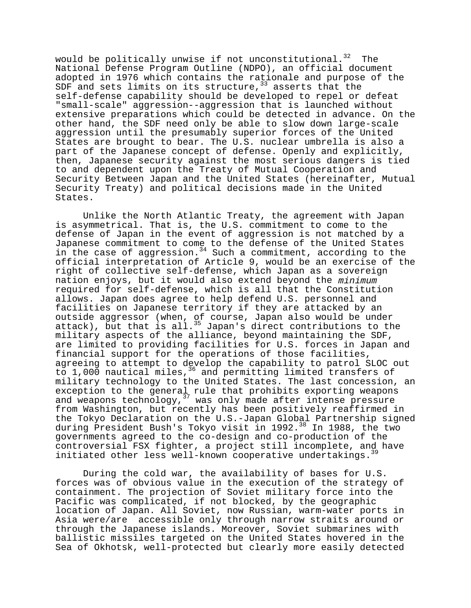would be politically unwise if not unconstitutional.<sup>32</sup> The National Defense Program Outline (NDPO), an official document adopted in 1976 which contains the rationale and purpose of the SDF and sets limits on its structure,  $33$  asserts that the self-defense capability should be developed to repel or defeat "small-scale" aggression--aggression that is launched without extensive preparations which could be detected in advance. On the other hand, the SDF need only be able to slow down large-scale aggression until the presumably superior forces of the United States are brought to bear. The U.S. nuclear umbrella is also a part of the Japanese concept of defense. Openly and explicitly, then, Japanese security against the most serious dangers is tied to and dependent upon the Treaty of Mutual Cooperation and Security Between Japan and the United States (hereinafter, Mutual Security Treaty) and political decisions made in the United States.

Unlike the North Atlantic Treaty, the agreement with Japan is asymmetrical. That is, the U.S. commitment to come to the defense of Japan in the event of aggression is not matched by a Japanese commitment to come to the defense of the United States in the case of aggression.<sup>34</sup> Such a commitment, according to the official interpretation of Article 9, would be an exercise of the right of collective self-defense, which Japan as a sovereign nation enjoys, but it would also extend beyond the minimum required for self-defense, which is all that the Constitution allows. Japan does agree to help defend U.S. personnel and facilities on Japanese territory if they are attacked by an outside aggressor (when, of course, Japan also would be under attack), but that is all.<sup>35</sup> Japan's direct contributions to the military aspects of the alliance, beyond maintaining the SDF, are limited to providing facilities for U.S. forces in Japan and financial support for the operations of those facilities, agreeing to attempt to develop the capability to patrol SLOC out to 1,000 nautical miles,<sup>36</sup> and permitting limited transfers of military technology to the United States. The last concession, an exception to the general rule that prohibits exporting weapons and weapons technology,<sup>37</sup> was only made after intense pressure from Washington, but recently has been positively reaffirmed in the Tokyo Declaration on the U.S.-Japan Global Partnership signed during President Bush's Tokyo visit in 1992.<sup>38</sup> In 1988, the two governments agreed to the co-design and co-production of the controversial FSX fighter, a project still incomplete, and have initiated other less well-known cooperative undertakings.<sup>31</sup>

During the cold war, the availability of bases for U.S. forces was of obvious value in the execution of the strategy of containment. The projection of Soviet military force into the Pacific was complicated, if not blocked, by the geographic location of Japan. All Soviet, now Russian, warm-water ports in Asia were/are accessible only through narrow straits around or through the Japanese islands. Moreover, Soviet submarines with ballistic missiles targeted on the United States hovered in the Sea of Okhotsk, well-protected but clearly more easily detected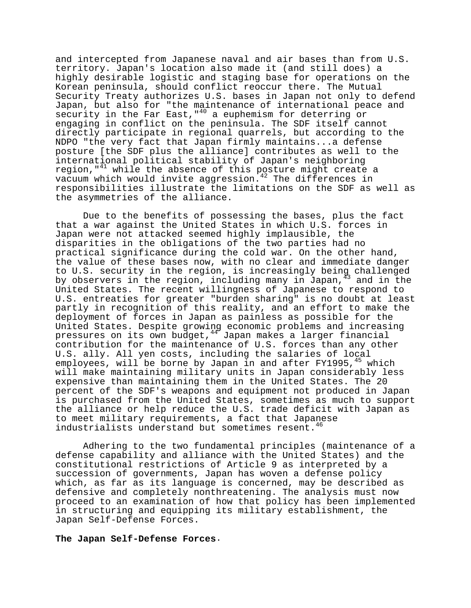and intercepted from Japanese naval and air bases than from U.S. territory. Japan's location also made it (and still does) a highly desirable logistic and staging base for operations on the Korean peninsula, should conflict reoccur there. The Mutual Security Treaty authorizes U.S. bases in Japan not only to defend Japan, but also for "the maintenance of international peace and security in the Far East, "<sup>40</sup> a euphemism for deterring or engaging in conflict on the peninsula. The SDF itself cannot directly participate in regional quarrels, but according to the NDPO "the very fact that Japan firmly maintains...a defense posture [the SDF plus the alliance] contributes as well to the international political stability of Japan's neighboring region,  $141$  while the absence of this posture might create a vacuum which would invite aggression.<sup>42</sup> The differences in responsibilities illustrate the limitations on the SDF as well as the asymmetries of the alliance.

Due to the benefits of possessing the bases, plus the fact that a war against the United States in which U.S. forces in Japan were not attacked seemed highly implausible, the disparities in the obligations of the two parties had no practical significance during the cold war. On the other hand, the value of these bases now, with no clear and immediate danger to U.S. security in the region, is increasingly being challenged by observers in the region, including many in Japan,<sup>43</sup> and in the United States. The recent willingness of Japanese to respond to U.S. entreaties for greater "burden sharing" is no doubt at least partly in recognition of this reality, and an effort to make the deployment of forces in Japan as painless as possible for the United States. Despite growing economic problems and increasing pressures on its own budget,  $44^{\circ}$  Japan makes a larger financial contribution for the maintenance of U.S. forces than any other U.S. ally. All yen costs, including the salaries of local employees, will be borne by Japan in and after FY1995, $45$  which will make maintaining military units in Japan considerably less expensive than maintaining them in the United States. The 20 percent of the SDF's weapons and equipment not produced in Japan is purchased from the United States, sometimes as much to support the alliance or help reduce the U.S. trade deficit with Japan as to meet military requirements, a fact that Japanese industrialists understand but sometimes resent.<sup>46</sup>

Adhering to the two fundamental principles (maintenance of a defense capability and alliance with the United States) and the constitutional restrictions of Article 9 as interpreted by a succession of governments, Japan has woven a defense policy which, as far as its language is concerned, may be described as defensive and completely nonthreatening. The analysis must now proceed to an examination of how that policy has been implemented in structuring and equipping its military establishment, the Japan Self-Defense Forces.

#### **The Japan Self-Defense Forces**.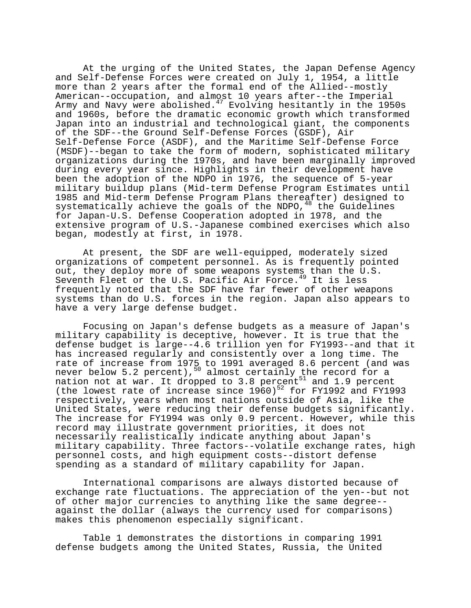At the urging of the United States, the Japan Defense Agency and Self-Defense Forces were created on July 1, 1954, a little more than 2 years after the formal end of the Allied--mostly American--occupation, and almost 10 years after--the Imperial Army and Navy were abolished.<sup>47</sup> Evolving hesitantly in the 1950s and 1960s, before the dramatic economic growth which transformed Japan into an industrial and technological giant, the components of the SDF--the Ground Self-Defense Forces (GSDF), Air Self-Defense Force (ASDF), and the Maritime Self-Defense Force (MSDF)--began to take the form of modern, sophisticated military organizations during the 1970s, and have been marginally improved during every year since. Highlights in their development have been the adoption of the NDPO in 1976, the sequence of 5-year military buildup plans (Mid-term Defense Program Estimates until 1985 and Mid-term Defense Program Plans thereafter) designed to systematically achieve the goals of the NDPO,  $48$  the Guidelines for Japan-U.S. Defense Cooperation adopted in 1978, and the extensive program of U.S.-Japanese combined exercises which also began, modestly at first, in 1978.

At present, the SDF are well-equipped, moderately sized organizations of competent personnel. As is frequently pointed out, they deploy more of some weapons systems than the U.S. Seventh Fleet or the U.S. Pacific Air Force.<sup>49</sup> It is less frequently noted that the SDF have far fewer of other weapons systems than do U.S. forces in the region. Japan also appears to have a very large defense budget.

Focusing on Japan's defense budgets as a measure of Japan's military capability is deceptive, however. It is true that the defense budget is large--4.6 trillion yen for FY1993--and that it has increased regularly and consistently over a long time. The rate of increase from 1975 to 1991 averaged 8.6 percent (and was never below 5.2 percent),  $50$  almost certainly the record for a nation not at war. It dropped to 3.8 percent $^{51}$  and 1.9 percent (the lowest rate of increase since  $1960)^{52}$  for FY1992 and FY1993 respectively, years when most nations outside of Asia, like the United States, were reducing their defense budgets significantly. The increase for FY1994 was only 0.9 percent. However, while this record may illustrate government priorities, it does not necessarily realistically indicate anything about Japan's military capability. Three factors--volatile exchange rates, high personnel costs, and high equipment costs--distort defense spending as a standard of military capability for Japan.

International comparisons are always distorted because of exchange rate fluctuations. The appreciation of the yen--but not of other major currencies to anything like the same degree- against the dollar (always the currency used for comparisons) makes this phenomenon especially significant.

Table 1 demonstrates the distortions in comparing 1991 defense budgets among the United States, Russia, the United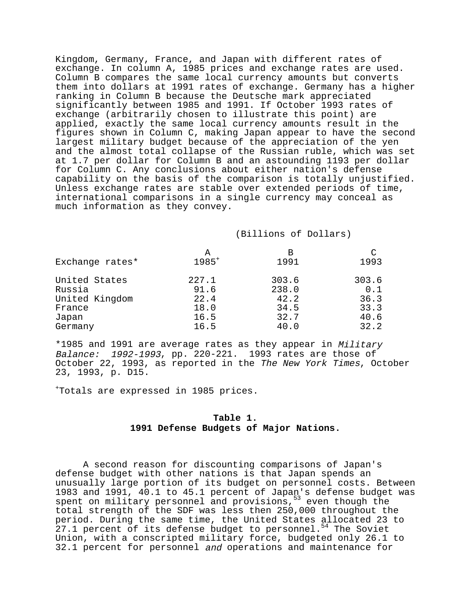Kingdom, Germany, France, and Japan with different rates of exchange. In column A, 1985 prices and exchange rates are used. Column B compares the same local currency amounts but converts them into dollars at 1991 rates of exchange. Germany has a higher ranking in Column B because the Deutsche mark appreciated significantly between 1985 and 1991. If October 1993 rates of exchange (arbitrarily chosen to illustrate this point) are applied, exactly the same local currency amounts result in the figures shown in Column C, making Japan appear to have the second largest military budget because of the appreciation of the yen and the almost total collapse of the Russian ruble, which was set at 1.7 per dollar for Column B and an astounding 1193 per dollar for Column C. Any conclusions about either nation's defense capability on the basis of the comparison is totally unjustified. Unless exchange rates are stable over extended periods of time, international comparisons in a single currency may conceal as much information as they convey.

### (Billions of Dollars)

|                 | А          | в     | C     |
|-----------------|------------|-------|-------|
| Exchange rates* | $1985^{+}$ | 1991  | 1993  |
| United States   | 227.1      | 303.6 | 303.6 |
| Russia          | 91.6       | 238.0 | 0.1   |
| United Kingdom  | 22.4       | 42.2  | 36.3  |
| France          | 18.0       | 34.5  | 33.3  |
| Japan           | 16.5       | 32.7  | 40.6  |
| Germany         | 16.5       | 40.0  | 32.2  |

\*1985 and 1991 are average rates as they appear in Military Balance: 1992-1993, pp. 220-221. 1993 rates are those of October 22, 1993, as reported in the The New York Times, October 23, 1993, p. D15.

+ Totals are expressed in 1985 prices.

## **Table 1. 1991 Defense Budgets of Major Nations.**

A second reason for discounting comparisons of Japan's defense budget with other nations is that Japan spends an unusually large portion of its budget on personnel costs. Between 1983 and 1991, 40.1 to 45.1 percent of Japan's defense budget was spent on military personnel and provisions, <sup>53</sup> even though the total strength of the SDF was less then 250,000 throughout the period. During the same time, the United States allocated 23 to  $27.1$  percent of its defense budget to personnel.<sup>54</sup> The Soviet Union, with a conscripted military force, budgeted only 26.1 to 32.1 percent for personnel and operations and maintenance for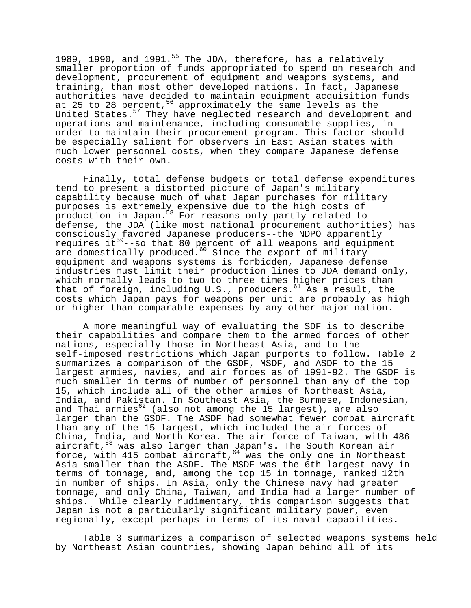1989, 1990, and 1991. $^{55}$  The JDA, therefore, has a relatively smaller proportion of funds appropriated to spend on research and development, procurement of equipment and weapons systems, and training, than most other developed nations. In fact, Japanese authorities have decided to maintain equipment acquisition funds at 25 to 28 percent,  $56$  approximately the same levels as the United States.<sup>57</sup> They have neglected research and development and operations and maintenance, including consumable supplies, in order to maintain their procurement program. This factor should be especially salient for observers in East Asian states with much lower personnel costs, when they compare Japanese defense costs with their own.

Finally, total defense budgets or total defense expenditures tend to present a distorted picture of Japan's military capability because much of what Japan purchases for military purposes is extremely expensive due to the high costs of production in Japan.<sup>58</sup> For reasons only partly related to defense, the JDA (like most national procurement authorities) has consciously favored Japanese producers--the NDPO apparently requires it<sup>59</sup>--so that 80 percent of all weapons and equipment are domestically produced.<sup>60</sup> Since the export of military equipment and weapons systems is forbidden, Japanese defense industries must limit their production lines to JDA demand only, which normally leads to two to three times higher prices than that of foreign, including U.S., producers.<sup>61</sup> As a result, the costs which Japan pays for weapons per unit are probably as high or higher than comparable expenses by any other major nation.

A more meaningful way of evaluating the SDF is to describe their capabilities and compare them to the armed forces of other nations, especially those in Northeast Asia, and to the self-imposed restrictions which Japan purports to follow. Table 2 summarizes a comparison of the GSDF, MSDF, and ASDF to the 15 largest armies, navies, and air forces as of 1991-92. The GSDF is much smaller in terms of number of personnel than any of the top 15, which include all of the other armies of Northeast Asia, India, and Pakistan. In Southeast Asia, the Burmese, Indonesian, and Thai armies $62$  (also not among the 15 largest), are also larger than the GSDF. The ASDF had somewhat fewer combat aircraft than any of the 15 largest, which included the air forces of China, India, and North Korea. The air force of Taiwan, with 486 aircraft,  $\frac{63}{1}$  was also larger than Japan's. The South Korean air force, with 415 combat aircraft,  $64$  was the only one in Northeast Asia smaller than the ASDF. The MSDF was the 6th largest navy in terms of tonnage, and, among the top 15 in tonnage, ranked 12th in number of ships. In Asia, only the Chinese navy had greater tonnage, and only China, Taiwan, and India had a larger number of ships. While clearly rudimentary, this comparison suggests that Japan is not a particularly significant military power, even regionally, except perhaps in terms of its naval capabilities.

Table 3 summarizes a comparison of selected weapons systems held by Northeast Asian countries, showing Japan behind all of its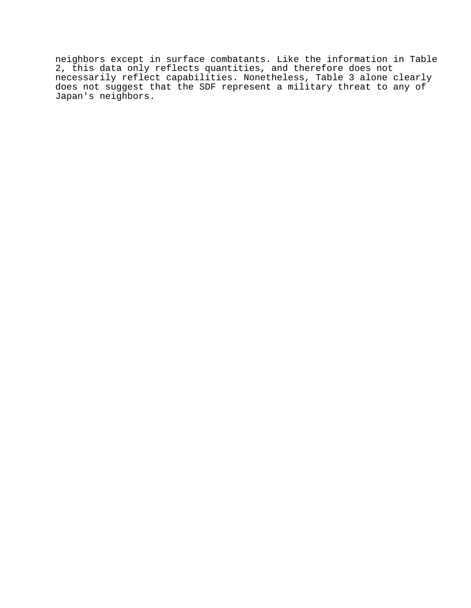neighbors except in surface combatants. Like the information in Table 2, this data only reflects quantities, and therefore does not necessarily reflect capabilities. Nonetheless, Table 3 alone clearly does not suggest that the SDF represent a military threat to any of Japan's neighbors.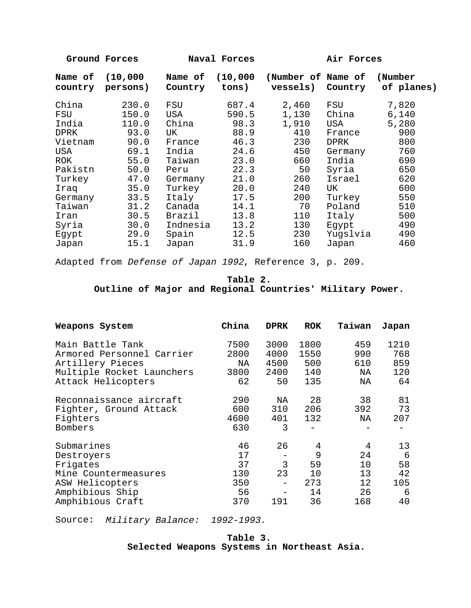**Ground Forces Naval Forces Air Forces** 

| Name of<br>country | (10,000)<br>persons) | Name of<br>Country | (10,000)<br>tons) | (Number of Name of<br>vessels) | Country  | (Number<br>of planes) |
|--------------------|----------------------|--------------------|-------------------|--------------------------------|----------|-----------------------|
| China              | 230.0                | FSU                | 687.4             | 2,460                          | FSU      | 7,820                 |
| FSU                | 150.0                | USA                | 590.5             | 1,130                          | China    | 6,140                 |
| India              | 110.0                | China              | 98.3              | 1,910                          | USA      | 5,280                 |
| <b>DPRK</b>        | 93.0                 | UK.                | 88.9              | 410                            | France   | 900                   |
| Vietnam            | 90.0                 | France             | 46.3              | 230                            | DPRK     | 800                   |
| USA                | 69.1                 | India              | 24.6              | 450                            | Germany  | 760                   |
| ROK.               | 55.0                 | Taiwan             | 23.0              | 660                            | India    | 690                   |
| Pakistn            | 50.0                 | Peru               | 22.3              | 50                             | Syria    | 650                   |
| Turkey             | 47.0                 | Germany            | 21.0              | 260                            | Israel   | 620                   |
| Iraq               | 35.0                 | Turkey             | 20.0              | 240                            | UK       | 600                   |
| Germany            | 33.5                 | Italy              | 17.5              | 200                            | Turkey   | 550                   |
| Taiwan             | 31.2                 | Canada             | 14.1              | 70                             | Poland   | 510                   |
| Iran               | 30.5                 | Brazil             | 13.8              | 110                            | Italy    | 500                   |
| Syria              | 30.0                 | Indnesia           | 13.2              | 130                            | Egypt    | 490                   |
| Egypt              | 29.0                 | Spain              | 12.5              | 230                            | Yugslvia | 490                   |
| Japan              | 15.1                 | Japan              | 31.9              | 160                            | Japan    | 460                   |

Adapted from Defense of Japan 1992, Reference 3, p. 209.

**Table 2. Outline of Major and Regional Countries' Military Power.**

| Weapons System                                                                                                         | China                                     | <b>DPRK</b>                               | <b>ROK</b>                            | Taiwan                                 | Japan                                 |
|------------------------------------------------------------------------------------------------------------------------|-------------------------------------------|-------------------------------------------|---------------------------------------|----------------------------------------|---------------------------------------|
| Main Battle Tank<br>Armored Personnel Carrier<br>Artillery Pieces<br>Multiple Rocket Launchers<br>Attack Helicopters   | 7500<br>2800<br>NA<br>3800<br>62          | 3000<br>4000<br>4500<br>2400<br>50        | 1800<br>1550<br>500<br>140<br>135     | 459<br>990<br>610<br>NA<br>ΝA          | 1210<br>768<br>859<br>120<br>64       |
| Reconnaissance aircraft<br>Fighter, Ground Attack<br>Fighters<br>Bombers                                               | 290<br>600<br>4600<br>630                 | ΝA<br>310<br>401<br>3                     | 28<br>206<br>132                      | 38<br>392<br>ΝA                        | 81<br>73<br>207                       |
| Submarines<br>Destroyers<br>Frigates<br>Mine Countermeasures<br>ASW Helicopters<br>Amphibious Ship<br>Amphibious Craft | 46<br>17<br>37<br>130<br>350<br>56<br>370 | 26<br>3<br>23<br>$\qquad \qquad -$<br>191 | 4<br>9<br>59<br>10<br>273<br>14<br>36 | 4<br>24<br>10<br>13<br>12<br>26<br>168 | 13<br>6<br>58<br>42<br>105<br>6<br>40 |

Source: Military Balance: 1992-1993.

# **Table 3. Selected Weapons Systems in Northeast Asia.**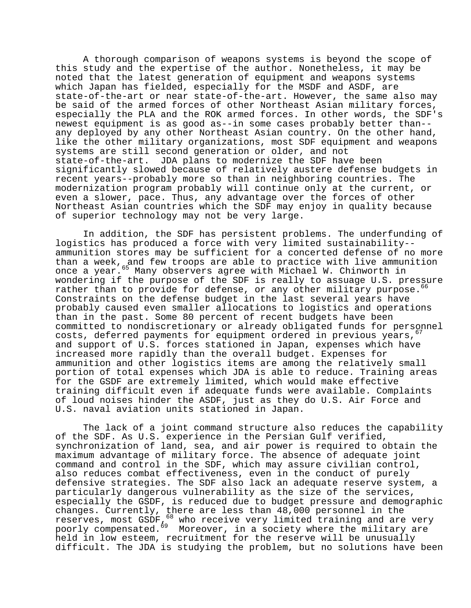A thorough comparison of weapons systems is beyond the scope of this study and the expertise of the author. Nonetheless, it may be noted that the latest generation of equipment and weapons systems which Japan has fielded, especially for the MSDF and ASDF, are state-of-the-art or near state-of-the-art. However, the same also may be said of the armed forces of other Northeast Asian military forces, especially the PLA and the ROK armed forces. In other words, the SDF's newest equipment is as good as--in some cases probably better than- any deployed by any other Northeast Asian country. On the other hand, like the other military organizations, most SDF equipment and weapons systems are still second generation or older, and not state-of-the-art. JDA plans to modernize the SDF have been significantly slowed because of relatively austere defense budgets in recent years--probably more so than in neighboring countries. The modernization program probably will continue only at the current, or even a slower, pace. Thus, any advantage over the forces of other Northeast Asian countries which the SDF may enjoy in quality because of superior technology may not be very large.

In addition, the SDF has persistent problems. The underfunding of logistics has produced a force with very limited sustainability- ammunition stores may be sufficient for a concerted defense of no more than a week, and few troops are able to practice with live ammunition once a year.<sup>65</sup> Many observers agree with Michael W. Chinworth in wondering if the purpose of the SDF is really to assuage U.S. pressure rather than to provide for defense, or any other military purpose.<sup>06</sup> Constraints on the defense budget in the last several years have probably caused even smaller allocations to logistics and operations than in the past. Some 80 percent of recent budgets have been committed to nondiscretionary or already obligated funds for personnel costs, deferred payments for equipment ordered in previous years,  $67$ and support of U.S. forces stationed in Japan, expenses which have increased more rapidly than the overall budget. Expenses for ammunition and other logistics items are among the relatively small portion of total expenses which JDA is able to reduce. Training areas for the GSDF are extremely limited, which would make effective training difficult even if adequate funds were available. Complaints of loud noises hinder the ASDF, just as they do U.S. Air Force and U.S. naval aviation units stationed in Japan.

The lack of a joint command structure also reduces the capability of the SDF. As U.S. experience in the Persian Gulf verified, synchronization of land, sea, and air power is required to obtain the maximum advantage of military force. The absence of adequate joint command and control in the SDF, which may assure civilian control, also reduces combat effectiveness, even in the conduct of purely defensive strategies. The SDF also lack an adequate reserve system, a particularly dangerous vulnerability as the size of the services, especially the GSDF, is reduced due to budget pressure and demographic changes. Currently, there are less than 48,000 personnel in the reserves, most  $GSDF$ <sub>1</sub><sup>68</sup> who receive very limited training and are very poorly compensated.<sup>69</sup> Moreover, in a society where the military are held in low esteem, recruitment for the reserve will be unusually difficult. The JDA is studying the problem, but no solutions have been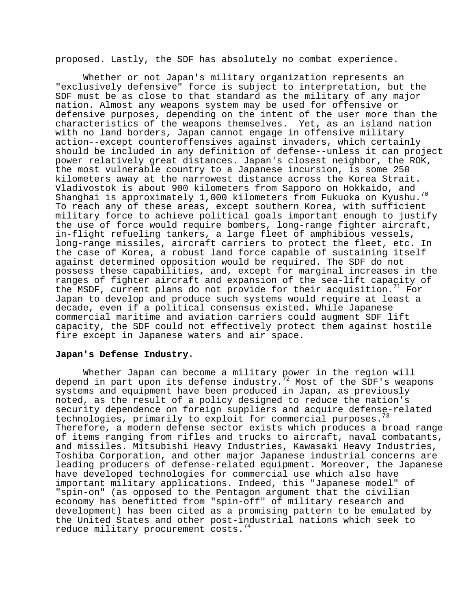proposed. Lastly, the SDF has absolutely no combat experience.

Whether or not Japan's military organization represents an "exclusively defensive" force is subject to interpretation, but the SDF must be as close to that standard as the military of any major nation. Almost any weapons system may be used for offensive or defensive purposes, depending on the intent of the user more than the characteristics of the weapons themselves. Yet, as an island nation with no land borders, Japan cannot engage in offensive military action--except counteroffensives against invaders, which certainly should be included in any definition of defense--unless it can project power relatively great distances. Japan's closest neighbor, the ROK, the most vulnerable country to a Japanese incursion, is some 250 kilometers away at the narrowest distance across the Korea Strait. Vladivostok is about 900 kilometers from Sapporo on Hokkaido, and Shanghai is approximately 1,000 kilometers from Fukuoka on Kyushu. $^{70}$ To reach any of these areas, except southern Korea, with sufficient military force to achieve political goals important enough to justify the use of force would require bombers, long-range fighter aircraft, in-flight refueling tankers, a large fleet of amphibious vessels, long-range missiles, aircraft carriers to protect the fleet, etc. In the case of Korea, a robust land force capable of sustaining itself against determined opposition would be required. The SDF do not possess these capabilities, and, except for marginal increases in the ranges of fighter aircraft and expansion of the sea-lift capacity of the MSDF, current plans do not provide for their acquisition.<sup>11</sup> For Japan to develop and produce such systems would require at least a decade, even if a political consensus existed. While Japanese commercial maritime and aviation carriers could augment SDF lift capacity, the SDF could not effectively protect them against hostile fire except in Japanese waters and air space.

## **Japan's Defense Industry**.

Whether Japan can become a military power in the region will depend in part upon its defense industry.<sup>72</sup> Most of the SDF's weapons systems and equipment have been produced in Japan, as previously noted, as the result of a policy designed to reduce the nation's security dependence on foreign suppliers and acquire defense-related technologies, primarily to exploit for commercial purposes.<sup>73</sup> Therefore, a modern defense sector exists which produces a broad range of items ranging from rifles and trucks to aircraft, naval combatants, and missiles. Mitsubishi Heavy Industries, Kawasaki Heavy Industries, Toshiba Corporation, and other major Japanese industrial concerns are leading producers of defense-related equipment. Moreover, the Japanese have developed technologies for commercial use which also have important military applications. Indeed, this "Japanese model" of "spin-on" (as opposed to the Pentagon argument that the civilian economy has benefitted from "spin-off" of military research and development) has been cited as a promising pattern to be emulated by the United States and other post-industrial nations which seek to reduce military procurement costs.  $14$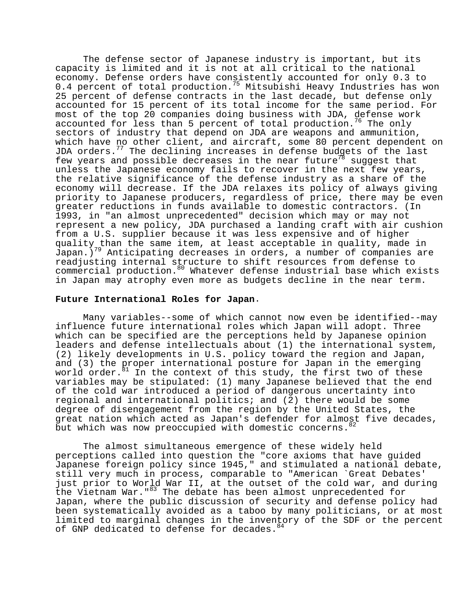The defense sector of Japanese industry is important, but its capacity is limited and it is not at all critical to the national economy. Defense orders have consistently accounted for only 0.3 to 0.4 percent of total production.<sup>75</sup> Mitsubishi Heavy Industries has won 25 percent of defense contracts in the last decade, but defense only accounted for 15 percent of its total income for the same period. For most of the top 20 companies doing business with JDA, defense work accounted for less than 5 percent of total production.<sup>76</sup> The only sectors of industry that depend on JDA are weapons and ammunition, which have no other client, and aircraft, some 80 percent dependent on JDA orders. $^{77}$  The declining increases in defense budgets of the last few years and possible decreases in the near future<sup>78</sup> suggest that unless the Japanese economy fails to recover in the next few years, the relative significance of the defense industry as a share of the economy will decrease. If the JDA relaxes its policy of always giving priority to Japanese producers, regardless of price, there may be even greater reductions in funds available to domestic contractors. (In 1993, in "an almost unprecedented" decision which may or may not represent a new policy, JDA purchased a landing craft with air cushion from a U.S. supplier because it was less expensive and of higher quality than the same item, at least acceptable in quality, made in  $Japan.$ )<sup>79</sup> Anticipating decreases in orders, a number of companies are readjusting internal structure to shift resources from defense to commercial production.<sup>80</sup> Whatever defense industrial base which exists in Japan may atrophy even more as budgets decline in the near term.

### **Future International Roles for Japan**.

Many variables--some of which cannot now even be identified--may influence future international roles which Japan will adopt. Three which can be specified are the perceptions held by Japanese opinion leaders and defense intellectuals about (1) the international system, (2) likely developments in U.S. policy toward the region and Japan, and (3) the proper international posture for Japan in the emerging world order. ${}^{31}$  In the context of this study, the first two of these variables may be stipulated: (1) many Japanese believed that the end of the cold war introduced a period of dangerous uncertainty into regional and international politics; and (2) there would be some degree of disengagement from the region by the United States, the great nation which acted as Japan's defender for almost five decades, but which was now preoccupied with domestic concerns. 82

The almost simultaneous emergence of these widely held perceptions called into question the "core axioms that have guided Japanese foreign policy since 1945," and stimulated a national debate, still very much in process, comparable to "American `Great Debates' just prior to World War II, at the outset of the cold war, and during the Vietnam War."<sup>83</sup> The debate has been almost unprecedented for Japan, where the public discussion of security and defense policy had been systematically avoided as a taboo by many politicians, or at most limited to marginal changes in the inventory of the SDF or the percent of GNP dedicated to defense for decades. 84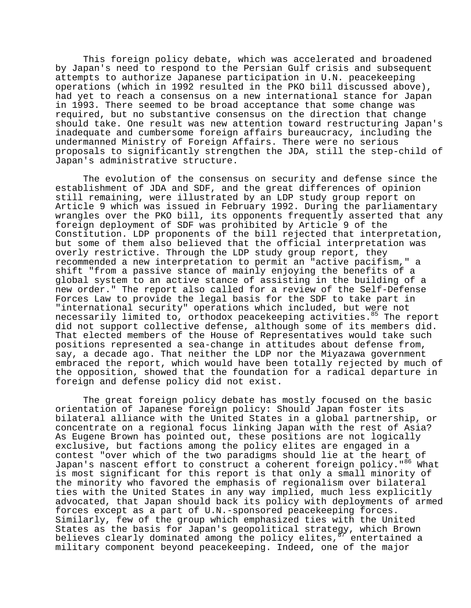This foreign policy debate, which was accelerated and broadened by Japan's need to respond to the Persian Gulf crisis and subsequent attempts to authorize Japanese participation in U.N. peacekeeping operations (which in 1992 resulted in the PKO bill discussed above), had yet to reach a consensus on a new international stance for Japan in 1993. There seemed to be broad acceptance that some change was required, but no substantive consensus on the direction that change should take. One result was new attention toward restructuring Japan's inadequate and cumbersome foreign affairs bureaucracy, including the undermanned Ministry of Foreign Affairs. There were no serious proposals to significantly strengthen the JDA, still the step-child of Japan's administrative structure.

The evolution of the consensus on security and defense since the establishment of JDA and SDF, and the great differences of opinion still remaining, were illustrated by an LDP study group report on Article 9 which was issued in February 1992. During the parliamentary wrangles over the PKO bill, its opponents frequently asserted that any foreign deployment of SDF was prohibited by Article 9 of the Constitution. LDP proponents of the bill rejected that interpretation, but some of them also believed that the official interpretation was overly restrictive. Through the LDP study group report, they recommended a new interpretation to permit an "active pacifism," a shift "from a passive stance of mainly enjoying the benefits of a global system to an active stance of assisting in the building of a new order." The report also called for a review of the Self-Defense Forces Law to provide the legal basis for the SDF to take part in "international security" operations which included, but were not necessarily limited to, orthodox peacekeeping activities.<sup>85</sup> The report did not support collective defense, although some of its members did. That elected members of the House of Representatives would take such positions represented a sea-change in attitudes about defense from, say, a decade ago. That neither the LDP nor the Miyazawa government embraced the report, which would have been totally rejected by much of the opposition, showed that the foundation for a radical departure in foreign and defense policy did not exist.

The great foreign policy debate has mostly focused on the basic orientation of Japanese foreign policy: Should Japan foster its bilateral alliance with the United States in a global partnership, or concentrate on a regional focus linking Japan with the rest of Asia? As Eugene Brown has pointed out, these positions are not logically exclusive, but factions among the policy elites are engaged in a contest "over which of the two paradigms should lie at the heart of Japan's nascent effort to construct a coherent foreign policy."<sup>86</sup> What is most significant for this report is that only a small minority of the minority who favored the emphasis of regionalism over bilateral ties with the United States in any way implied, much less explicitly advocated, that Japan should back its policy with deployments of armed forces except as a part of U.N.-sponsored peacekeeping forces. Similarly, few of the group which emphasized ties with the United States as the basis for Japan's geopolitical strategy, which Brown believes clearly dominated among the policy elites,  $87$  entertained a military component beyond peacekeeping. Indeed, one of the major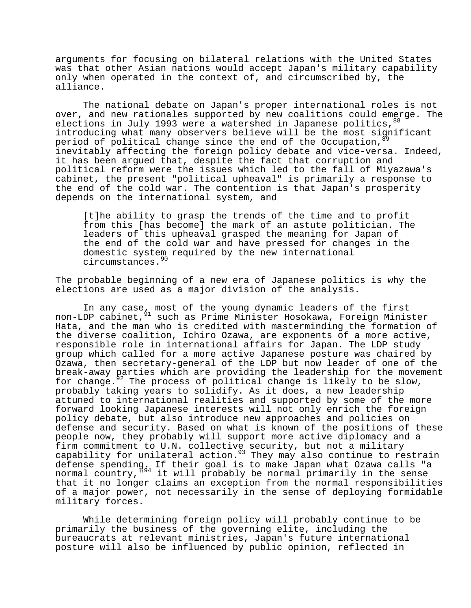arguments for focusing on bilateral relations with the United States was that other Asian nations would accept Japan's military capability only when operated in the context of, and circumscribed by, the alliance.

The national debate on Japan's proper international roles is not over, and new rationales supported by new coalitions could emerge. The elections in July 1993 were a watershed in Japanese politics,  $88$ introducing what many observers believe will be the most significant period of political change since the end of the Occupation, inevitably affecting the foreign policy debate and vice-versa. Indeed, it has been argued that, despite the fact that corruption and political reform were the issues which led to the fall of Miyazawa's cabinet, the present "political upheaval" is primarily a response to the end of the cold war. The contention is that Japan's prosperity depends on the international system, and

[t]he ability to grasp the trends of the time and to profit from this [has become] the mark of an astute politician. The leaders of this upheaval grasped the meaning for Japan of the end of the cold war and have pressed for changes in the domestic system required by the new international circumstances.<sup>90</sup>

The probable beginning of a new era of Japanese politics is why the elections are used as a major division of the analysis.

In any case, most of the young dynamic leaders of the first non-LDP cabinet,  $91$  such as Prime Minister Hosokawa, Foreign Minister Hata, and the man who is credited with masterminding the formation of the diverse coalition, Ichiro Ozawa, are exponents of a more active, responsible role in international affairs for Japan. The LDP study group which called for a more active Japanese posture was chaired by Ozawa, then secretary-general of the LDP but now leader of one of the break-away parties which are providing the leadership for the movement for change. $5^2$  The process of political change is likely to be slow, probably taking years to solidify. As it does, a new leadership attuned to international realities and supported by some of the more forward looking Japanese interests will not only enrich the foreign policy debate, but also introduce new approaches and policies on defense and security. Based on what is known of the positions of these people now, they probably will support more active diplomacy and a firm commitment to U.N. collective security, but not a military capability for unilateral action.  $93$  They may also continue to restrain defense spending. If their goal is to make Japan what Ozawa calls "a normal country, "<sup>94</sup> it will probably be normal primarily in the sense that it no longer claims an exception from the normal responsibilities of a major power, not necessarily in the sense of deploying formidable military forces.

While determining foreign policy will probably continue to be primarily the business of the governing elite, including the bureaucrats at relevant ministries, Japan's future international posture will also be influenced by public opinion, reflected in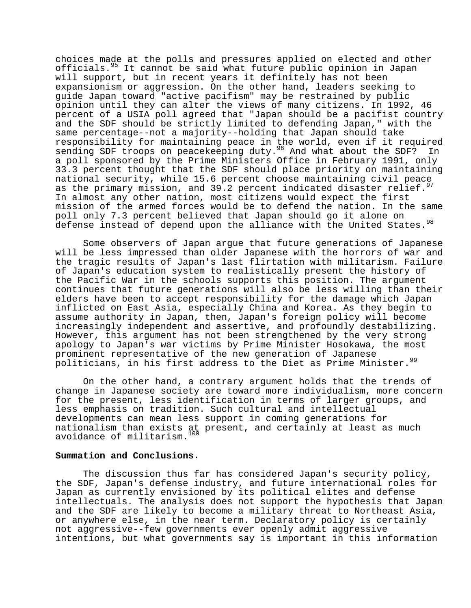choices made at the polls and pressures applied on elected and other officials.95 It cannot be said what future public opinion in Japan will support, but in recent years it definitely has not been expansionism or aggression. On the other hand, leaders seeking to guide Japan toward "active pacifism" may be restrained by public opinion until they can alter the views of many citizens. In 1992, 46 percent of a USIA poll agreed that "Japan should be a pacifist country and the SDF should be strictly limited to defending Japan," with the same percentage--not a majority--holding that Japan should take responsibility for maintaining peace in the world, even if it required sending SDF troops on peacekeeping duty.<sup>96</sup> And what about the SDF? In a poll sponsored by the Prime Ministers Office in February 1991, only 33.3 percent thought that the SDF should place priority on maintaining national security, while 15.6 percent choose maintaining civil peace as the primary mission, and 39.2 percent indicated disaster relief.<sup>9</sup> In almost any other nation, most citizens would expect the first mission of the armed forces would be to defend the nation. In the same poll only 7.3 percent believed that Japan should go it alone on defense instead of depend upon the alliance with the United States.  $98$ 

Some observers of Japan argue that future generations of Japanese will be less impressed than older Japanese with the horrors of war and the tragic results of Japan's last flirtation with militarism. Failure of Japan's education system to realistically present the history of the Pacific War in the schools supports this position. The argument continues that future generations will also be less willing than their elders have been to accept responsibility for the damage which Japan inflicted on East Asia, especially China and Korea. As they begin to assume authority in Japan, then, Japan's foreign policy will become increasingly independent and assertive, and profoundly destabilizing. However, this argument has not been strengthened by the very strong apology to Japan's war victims by Prime Minister Hosokawa, the most prominent representative of the new generation of Japanese politicians, in his first address to the Diet as Prime Minister.<sup>99</sup>

On the other hand, a contrary argument holds that the trends of change in Japanese society are toward more individualism, more concern for the present, less identification in terms of larger groups, and less emphasis on tradition. Such cultural and intellectual developments can mean less support in coming generations for nationalism than exists at present, and certainly at least as much avoidance of militarism.<sup>100</sup>

### **Summation and Conclusions**.

The discussion thus far has considered Japan's security policy, the SDF, Japan's defense industry, and future international roles for Japan as currently envisioned by its political elites and defense intellectuals. The analysis does not support the hypothesis that Japan and the SDF are likely to become a military threat to Northeast Asia, or anywhere else, in the near term. Declaratory policy is certainly not aggressive--few governments ever openly admit aggressive intentions, but what governments say is important in this information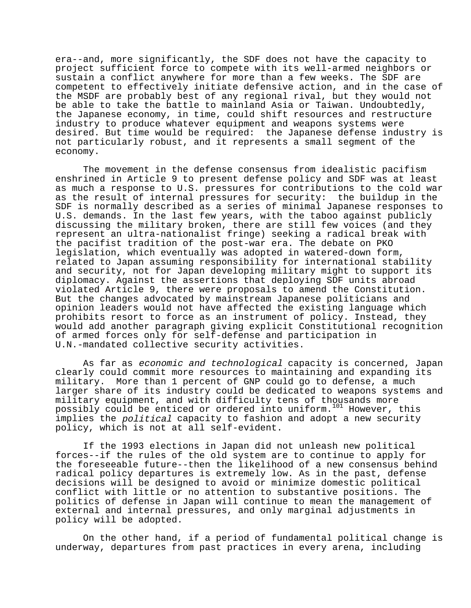era--and, more significantly, the SDF does not have the capacity to project sufficient force to compete with its well-armed neighbors or sustain a conflict anywhere for more than a few weeks. The SDF are competent to effectively initiate defensive action, and in the case of the MSDF are probably best of any regional rival, but they would not be able to take the battle to mainland Asia or Taiwan. Undoubtedly, the Japanese economy, in time, could shift resources and restructure industry to produce whatever equipment and weapons systems were desired. But time would be required: the Japanese defense industry is not particularly robust, and it represents a small segment of the economy.

The movement in the defense consensus from idealistic pacifism enshrined in Article 9 to present defense policy and SDF was at least as much a response to U.S. pressures for contributions to the cold war as the result of internal pressures for security: the buildup in the SDF is normally described as a series of minimal Japanese responses to U.S. demands. In the last few years, with the taboo against publicly discussing the military broken, there are still few voices (and they represent an ultra-nationalist fringe) seeking a radical break with the pacifist tradition of the post-war era. The debate on PKO legislation, which eventually was adopted in watered-down form, related to Japan assuming responsibility for international stability and security, not for Japan developing military might to support its diplomacy. Against the assertions that deploying SDF units abroad violated Article 9, there were proposals to amend the Constitution. But the changes advocated by mainstream Japanese politicians and opinion leaders would not have affected the existing language which prohibits resort to force as an instrument of policy. Instead, they would add another paragraph giving explicit Constitutional recognition of armed forces only for self-defense and participation in U.N.-mandated collective security activities.

As far as economic and technological capacity is concerned, Japan clearly could commit more resources to maintaining and expanding its military. More than 1 percent of GNP could go to defense, a much larger share of its industry could be dedicated to weapons systems and military equipment, and with difficulty tens of thousands more possibly could be enticed or ordered into uniform.101 However, this implies the political capacity to fashion and adopt a new security policy, which is not at all self-evident.

If the 1993 elections in Japan did not unleash new political forces--if the rules of the old system are to continue to apply for the foreseeable future--then the likelihood of a new consensus behind radical policy departures is extremely low. As in the past, defense decisions will be designed to avoid or minimize domestic political conflict with little or no attention to substantive positions. The politics of defense in Japan will continue to mean the management of external and internal pressures, and only marginal adjustments in policy will be adopted.

On the other hand, if a period of fundamental political change is underway, departures from past practices in every arena, including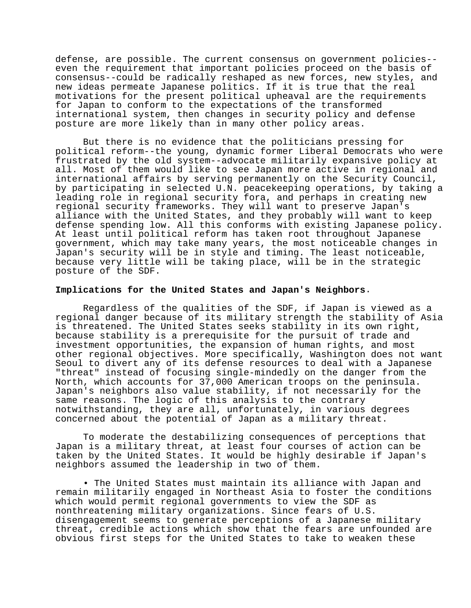defense, are possible. The current consensus on government policies- even the requirement that important policies proceed on the basis of consensus--could be radically reshaped as new forces, new styles, and new ideas permeate Japanese politics. If it is true that the real motivations for the present political upheaval are the requirements for Japan to conform to the expectations of the transformed international system, then changes in security policy and defense posture are more likely than in many other policy areas.

But there is no evidence that the politicians pressing for political reform--the young, dynamic former Liberal Democrats who were frustrated by the old system--advocate militarily expansive policy at all. Most of them would like to see Japan more active in regional and international affairs by serving permanently on the Security Council, by participating in selected U.N. peacekeeping operations, by taking a leading role in regional security fora, and perhaps in creating new regional security frameworks. They will want to preserve Japan's alliance with the United States, and they probably will want to keep defense spending low. All this conforms with existing Japanese policy. At least until political reform has taken root throughout Japanese government, which may take many years, the most noticeable changes in Japan's security will be in style and timing. The least noticeable, because very little will be taking place, will be in the strategic posture of the SDF.

### **Implications for the United States and Japan's Neighbors**.

Regardless of the qualities of the SDF, if Japan is viewed as a regional danger because of its military strength the stability of Asia is threatened. The United States seeks stability in its own right, because stability is a prerequisite for the pursuit of trade and investment opportunities, the expansion of human rights, and most other regional objectives. More specifically, Washington does not want Seoul to divert any of its defense resources to deal with a Japanese "threat" instead of focusing single-mindedly on the danger from the North, which accounts for 37,000 American troops on the peninsula. Japan's neighbors also value stability, if not necessarily for the same reasons. The logic of this analysis to the contrary notwithstanding, they are all, unfortunately, in various degrees concerned about the potential of Japan as a military threat.

To moderate the destabilizing consequences of perceptions that Japan is a military threat, at least four courses of action can be taken by the United States. It would be highly desirable if Japan's neighbors assumed the leadership in two of them.

• The United States must maintain its alliance with Japan and remain militarily engaged in Northeast Asia to foster the conditions which would permit regional governments to view the SDF as nonthreatening military organizations. Since fears of U.S. disengagement seems to generate perceptions of a Japanese military threat, credible actions which show that the fears are unfounded are obvious first steps for the United States to take to weaken these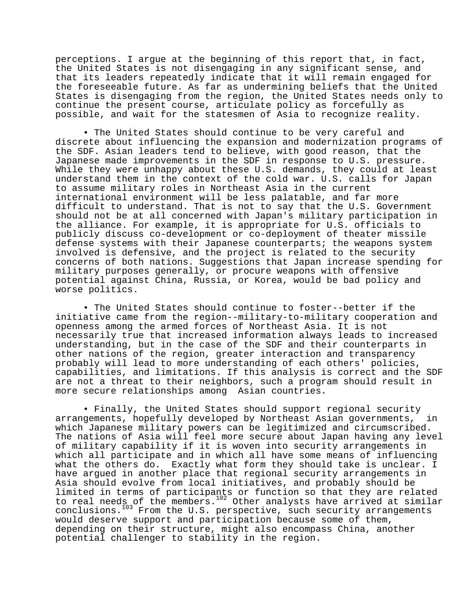perceptions. I argue at the beginning of this report that, in fact, the United States is not disengaging in any significant sense, and that its leaders repeatedly indicate that it will remain engaged for the foreseeable future. As far as undermining beliefs that the United States is disengaging from the region, the United States needs only to continue the present course, articulate policy as forcefully as possible, and wait for the statesmen of Asia to recognize reality.

• The United States should continue to be very careful and discrete about influencing the expansion and modernization programs of the SDF. Asian leaders tend to believe, with good reason, that the Japanese made improvements in the SDF in response to U.S. pressure. While they were unhappy about these U.S. demands, they could at least understand them in the context of the cold war. U.S. calls for Japan to assume military roles in Northeast Asia in the current international environment will be less palatable, and far more difficult to understand. That is not to say that the U.S. Government should not be at all concerned with Japan's military participation in the alliance. For example, it is appropriate for U.S. officials to publicly discuss co-development or co-deployment of theater missile defense systems with their Japanese counterparts; the weapons system involved is defensive, and the project is related to the security concerns of both nations. Suggestions that Japan increase spending for military purposes generally, or procure weapons with offensive potential against China, Russia, or Korea, would be bad policy and worse politics.

• The United States should continue to foster--better if the initiative came from the region--military-to-military cooperation and openness among the armed forces of Northeast Asia. It is not necessarily true that increased information always leads to increased understanding, but in the case of the SDF and their counterparts in other nations of the region, greater interaction and transparency probably will lead to more understanding of each others' policies, capabilities, and limitations. If this analysis is correct and the SDF are not a threat to their neighbors, such a program should result in more secure relationships among Asian countries.

• Finally, the United States should support regional security arrangements, hopefully developed by Northeast Asian governments, in which Japanese military powers can be legitimized and circumscribed. The nations of Asia will feel more secure about Japan having any level of military capability if it is woven into security arrangements in which all participate and in which all have some means of influencing what the others do. Exactly what form they should take is unclear. I have argued in another place that regional security arrangements in Asia should evolve from local initiatives, and probably should be limited in terms of participants or function so that they are related to real needs of the members.<sup>102</sup> Other analysts have arrived at similar conclusions.<sup>103</sup> From the U.S. perspective, such security arrangements would deserve support and participation because some of them, depending on their structure, might also encompass China, another potential challenger to stability in the region.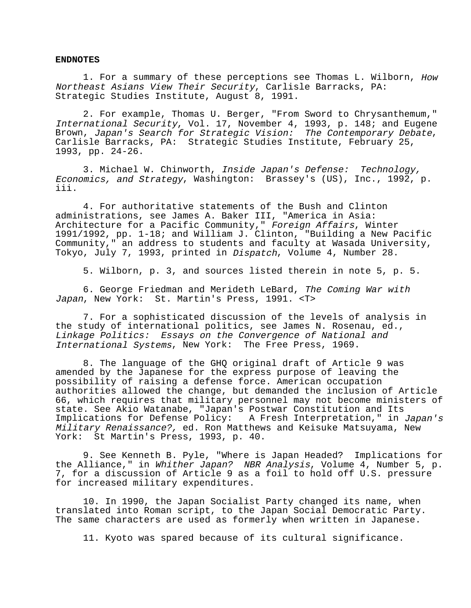#### **ENDNOTES**

1. For a summary of these perceptions see Thomas L. Wilborn, How Northeast Asians View Their Security, Carlisle Barracks, PA: Strategic Studies Institute, August 8, 1991.

2. For example, Thomas U. Berger, "From Sword to Chrysanthemum," International Security, Vol. 17, November 4, 1993, p. 148; and Eugene Brown, Japan's Search for Strategic Vision: The Contemporary Debate, Carlisle Barracks, PA: Strategic Studies Institute, February 25, 1993, pp. 24-26.

3. Michael W. Chinworth, Inside Japan's Defense: Technology, Economics, and Strategy, Washington: Brassey's (US), Inc., 1992, p. iii.

4. For authoritative statements of the Bush and Clinton administrations, see James A. Baker III, "America in Asia: Architecture for a Pacific Community," Foreign Affairs, Winter 1991/1992, pp. 1-18; and William J. Clinton, "Building a New Pacific Community," an address to students and faculty at Wasada University, Tokyo, July 7, 1993, printed in Dispatch, Volume 4, Number 28.

5. Wilborn, p. 3, and sources listed therein in note 5, p. 5.

6. George Friedman and Merideth LeBard, The Coming War with Japan, New York: St. Martin's Press, 1991. <T>

7. For a sophisticated discussion of the levels of analysis in the study of international politics, see James N. Rosenau, ed., Linkage Politics: Essays on the Convergence of National and International Systems, New York: The Free Press, 1969.

8. The language of the GHQ original draft of Article 9 was amended by the Japanese for the express purpose of leaving the possibility of raising a defense force. American occupation authorities allowed the change, but demanded the inclusion of Article 66, which requires that military personnel may not become ministers of state. See Akio Watanabe, "Japan's Postwar Constitution and Its Implications for Defense Policy: A Fresh Interpretation," in Japan's Military Renaissance?, ed. Ron Matthews and Keisuke Matsuyama, New York: St Martin's Press, 1993, p. 40.

9. See Kenneth B. Pyle, "Where is Japan Headed? Implications for the Alliance," in Whither Japan? NBR Analysis, Volume 4, Number 5, p. 7, for a discussion of Article 9 as a foil to hold off U.S. pressure for increased military expenditures.

10. In 1990, the Japan Socialist Party changed its name, when translated into Roman script, to the Japan Social Democratic Party. The same characters are used as formerly when written in Japanese.

11. Kyoto was spared because of its cultural significance.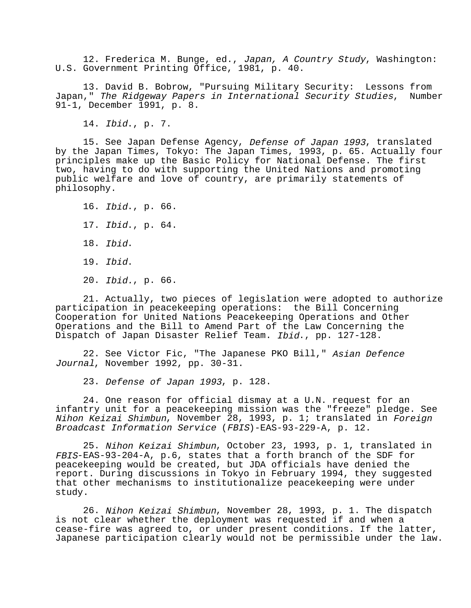12. Frederica M. Bunge, ed., Japan, A Country Study, Washington: U.S. Government Printing Office, 1981, p. 40.

13. David B. Bobrow, "Pursuing Military Security: Lessons from Japan," The Ridgeway Papers in International Security Studies, Number 91-1, December 1991, p. 8.

14. Ibid., p. 7.

15. See Japan Defense Agency, Defense of Japan 1993, translated by the Japan Times, Tokyo: The Japan Times, 1993, p. 65. Actually four principles make up the Basic Policy for National Defense. The first two, having to do with supporting the United Nations and promoting public welfare and love of country, are primarily statements of philosophy.

16. Ibid., p. 66. 17. Ibid., p. 64. 18. Ibid. 19. Ibid. 20. Ibid., p. 66.

21. Actually, two pieces of legislation were adopted to authorize participation in peacekeeping operations: the Bill Concerning Cooperation for United Nations Peacekeeping Operations and Other Operations and the Bill to Amend Part of the Law Concerning the Dispatch of Japan Disaster Relief Team. Ibid., pp. 127-128.

22. See Victor Fic, "The Japanese PKO Bill," Asian Defence Journal, November 1992, pp. 30-31.

23. Defense of Japan 1993, p. 128.

24. One reason for official dismay at a U.N. request for an infantry unit for a peacekeeping mission was the "freeze" pledge. See Nihon Keizai Shimbun, November 28, 1993, p. 1; translated in Foreign Broadcast Information Service (FBIS)-EAS-93-229-A, p. 12.

25. Nihon Keizai Shimbun, October 23, 1993, p. 1, translated in FBIS-EAS-93-204-A, p.6, states that a forth branch of the SDF for peacekeeping would be created, but JDA officials have denied the report. During discussions in Tokyo in February 1994, they suggested that other mechanisms to institutionalize peacekeeping were under study.

26. Nihon Keizai Shimbun, November 28, 1993, p. 1. The dispatch is not clear whether the deployment was requested if and when a cease-fire was agreed to, or under present conditions. If the latter, Japanese participation clearly would not be permissible under the law.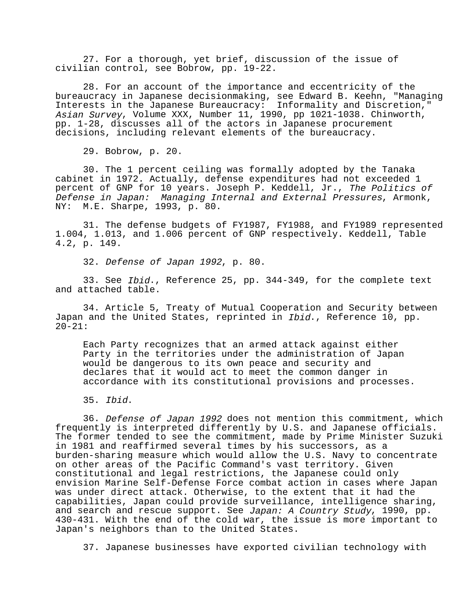27. For a thorough, yet brief, discussion of the issue of civilian control, see Bobrow, pp. 19-22.

28. For an account of the importance and eccentricity of the bureaucracy in Japanese decisionmaking, see Edward B. Keehn, "Managing Interests in the Japanese Bureaucracy: Informality and Discretion," Asian Survey, Volume XXX, Number 11, 1990, pp 1021-1038. Chinworth, pp. 1-28, discusses all of the actors in Japanese procurement decisions, including relevant elements of the bureaucracy.

29. Bobrow, p. 20.

30. The 1 percent ceiling was formally adopted by the Tanaka cabinet in 1972. Actually, defense expenditures had not exceeded 1 percent of GNP for 10 years. Joseph P. Keddell, Jr., The Politics of Defense in Japan: Managing Internal and External Pressures, Armonk, NY: M.E. Sharpe, 1993, p. 80.

31. The defense budgets of FY1987, FY1988, and FY1989 represented 1.004, 1.013, and 1.006 percent of GNP respectively. Keddell, Table 4.2, p. 149.

32. Defense of Japan 1992, p. 80.

33. See Ibid., Reference 25, pp. 344-349, for the complete text and attached table.

34. Article 5, Treaty of Mutual Cooperation and Security between Japan and the United States, reprinted in Ibid., Reference 10, pp.  $20 - 21:$ 

Each Party recognizes that an armed attack against either Party in the territories under the administration of Japan would be dangerous to its own peace and security and declares that it would act to meet the common danger in accordance with its constitutional provisions and processes.

35. Ibid.

36. Defense of Japan 1992 does not mention this commitment, which frequently is interpreted differently by U.S. and Japanese officials. The former tended to see the commitment, made by Prime Minister Suzuki in 1981 and reaffirmed several times by his successors, as a burden-sharing measure which would allow the U.S. Navy to concentrate on other areas of the Pacific Command's vast territory. Given constitutional and legal restrictions, the Japanese could only envision Marine Self-Defense Force combat action in cases where Japan was under direct attack. Otherwise, to the extent that it had the capabilities, Japan could provide surveillance, intelligence sharing, and search and rescue support. See Japan: A Country Study, 1990, pp. 430-431. With the end of the cold war, the issue is more important to Japan's neighbors than to the United States.

37. Japanese businesses have exported civilian technology with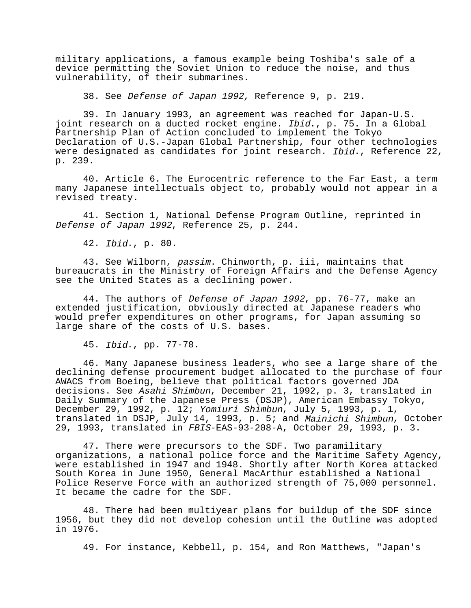military applications, a famous example being Toshiba's sale of a device permitting the Soviet Union to reduce the noise, and thus vulnerability, of their submarines.

38. See Defense of Japan 1992, Reference 9, p. 219.

39. In January 1993, an agreement was reached for Japan-U.S. joint research on a ducted rocket engine. Ibid., p. 75. In a Global Partnership Plan of Action concluded to implement the Tokyo Declaration of U.S.-Japan Global Partnership, four other technologies were designated as candidates for joint research. *Ibid.*, Reference 22, p. 239.

40. Article 6. The Eurocentric reference to the Far East, a term many Japanese intellectuals object to, probably would not appear in a revised treaty.

41. Section 1, National Defense Program Outline, reprinted in Defense of Japan 1992, Reference 25, p. 244.

42. Ibid., p. 80.

43. See Wilborn, passim. Chinworth, p. iii, maintains that bureaucrats in the Ministry of Foreign Affairs and the Defense Agency see the United States as a declining power.

44. The authors of Defense of Japan 1992, pp. 76-77, make an extended justification, obviously directed at Japanese readers who would prefer expenditures on other programs, for Japan assuming so large share of the costs of U.S. bases.

45. Ibid., pp. 77-78.

46. Many Japanese business leaders, who see a large share of the declining defense procurement budget allocated to the purchase of four AWACS from Boeing, believe that political factors governed JDA decisions. See Asahi Shimbun, December 21, 1992, p. 3, translated in Daily Summary of the Japanese Press (DSJP), American Embassy Tokyo, December 29, 1992, p. 12; Yomiuri Shimbun, July 5, 1993, p. 1, translated in DSJP, July 14, 1993, p. 5; and Mainichi Shimbun, October 29, 1993, translated in FBIS-EAS-93-208-A, October 29, 1993, p. 3.

47. There were precursors to the SDF. Two paramilitary organizations, a national police force and the Maritime Safety Agency, were established in 1947 and 1948. Shortly after North Korea attacked South Korea in June 1950, General MacArthur established a National Police Reserve Force with an authorized strength of 75,000 personnel. It became the cadre for the SDF.

48. There had been multiyear plans for buildup of the SDF since 1956, but they did not develop cohesion until the Outline was adopted in 1976.

49. For instance, Kebbell, p. 154, and Ron Matthews, "Japan's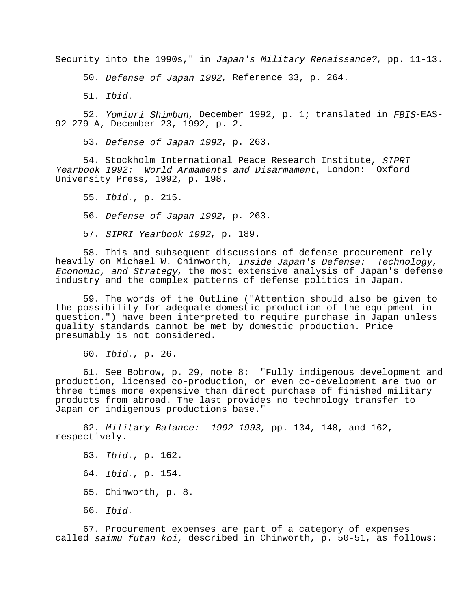Security into the 1990s," in Japan's Military Renaissance?, pp. 11-13.

50. Defense of Japan 1992, Reference 33, p. 264.

51. Ibid.

52. Yomiuri Shimbun, December 1992, p. 1; translated in FBIS-EAS-92-279-A, December 23, 1992, p. 2.

53. Defense of Japan 1992, p. 263.

54. Stockholm International Peace Research Institute, SIPRI Yearbook 1992: World Armaments and Disarmament, London: Oxford University Press, 1992, p. 198.

55. Ibid., p. 215.

56. Defense of Japan 1992, p. 263.

57. SIPRI Yearbook 1992, p. 189.

58. This and subsequent discussions of defense procurement rely heavily on Michael W. Chinworth, Inside Japan's Defense: Technology, Economic, and Strategy, the most extensive analysis of Japan's defense industry and the complex patterns of defense politics in Japan.

59. The words of the Outline ("Attention should also be given to the possibility for adequate domestic production of the equipment in question.") have been interpreted to require purchase in Japan unless quality standards cannot be met by domestic production. Price presumably is not considered.

60. Ibid., p. 26.

61. See Bobrow, p. 29, note 8: "Fully indigenous development and production, licensed co-production, or even co-development are two or three times more expensive than direct purchase of finished military products from abroad. The last provides no technology transfer to Japan or indigenous productions base."

62. Military Balance: 1992-1993, pp. 134, 148, and 162, respectively.

63. Ibid., p. 162. 64. Ibid., p. 154. 65. Chinworth, p. 8. 66. Ibid.

67. Procurement expenses are part of a category of expenses called saimu futan koi, described in Chinworth, p. 50-51, as follows: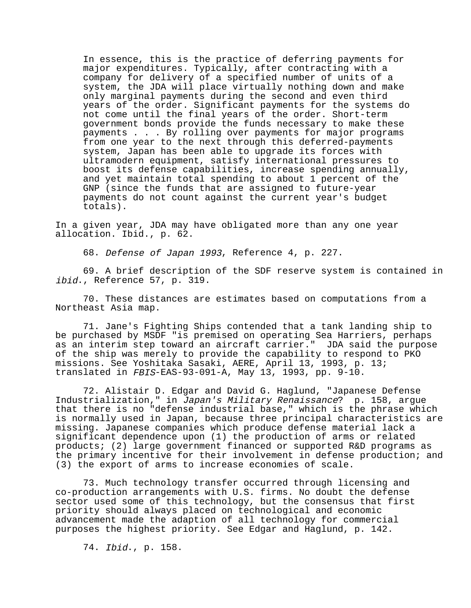In essence, this is the practice of deferring payments for major expenditures. Typically, after contracting with a company for delivery of a specified number of units of a system, the JDA will place virtually nothing down and make only marginal payments during the second and even third years of the order. Significant payments for the systems do not come until the final years of the order. Short-term government bonds provide the funds necessary to make these payments . . . By rolling over payments for major programs from one year to the next through this deferred-payments system, Japan has been able to upgrade its forces with ultramodern equipment, satisfy international pressures to boost its defense capabilities, increase spending annually, and yet maintain total spending to about 1 percent of the GNP (since the funds that are assigned to future-year payments do not count against the current year's budget totals).

In a given year, JDA may have obligated more than any one year allocation. Ibid., p. 62.

68. Defense of Japan 1993, Reference 4, p. 227.

69. A brief description of the SDF reserve system is contained in ibid., Reference 57, p. 319.

70. These distances are estimates based on computations from a Northeast Asia map.

71. Jane's Fighting Ships contended that a tank landing ship to be purchased by MSDF "is premised on operating Sea Harriers, perhaps as an interim step toward an aircraft carrier." JDA said the purpose of the ship was merely to provide the capability to respond to PKO missions. See Yoshitaka Sasaki, AERE, April 13, 1993, p. 13; translated in FBIS-EAS-93-091-A, May 13, 1993, pp. 9-10.

72. Alistair D. Edgar and David G. Haglund, "Japanese Defense Industrialization," in Japan's Military Renaissance? p. 158, argue that there is no "defense industrial base," which is the phrase which is normally used in Japan, because three principal characteristics are missing. Japanese companies which produce defense material lack a significant dependence upon (1) the production of arms or related products; (2) large government financed or supported R&D programs as the primary incentive for their involvement in defense production; and (3) the export of arms to increase economies of scale.

73. Much technology transfer occurred through licensing and co-production arrangements with U.S. firms. No doubt the defense sector used some of this technology, but the consensus that first priority should always placed on technological and economic advancement made the adaption of all technology for commercial purposes the highest priority. See Edgar and Haglund, p. 142.

74. Ibid., p. 158.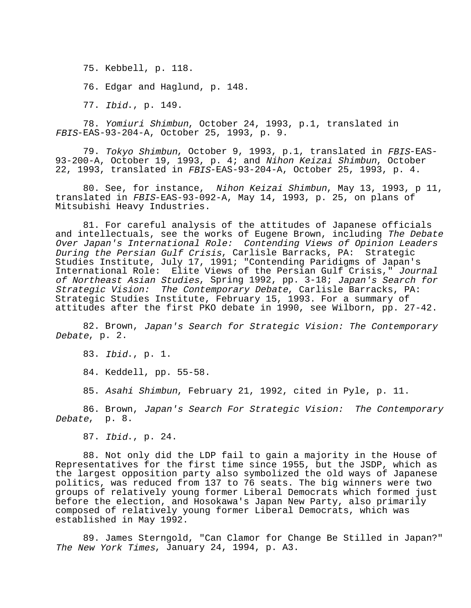75. Kebbell, p. 118.

76. Edgar and Haglund, p. 148.

77. Ibid., p. 149.

78. Yomiuri Shimbun, October 24, 1993, p.1, translated in FBIS-EAS-93-204-A, October 25, 1993, p. 9.

79. Tokyo Shimbun, October 9, 1993, p.1, translated in FBIS-EAS-93-200-A, October 19, 1993, p. 4; and Nihon Keizai Shimbun, October 22, 1993, translated in FBIS-EAS-93-204-A, October 25, 1993, p. 4.

80. See, for instance, Nihon Keizai Shimbun, May 13, 1993, p 11, translated in FBIS-EAS-93-092-A, May 14, 1993, p. 25, on plans of Mitsubishi Heavy Industries.

81. For careful analysis of the attitudes of Japanese officials and intellectuals, see the works of Eugene Brown, including The Debate Over Japan's International Role: Contending Views of Opinion Leaders During the Persian Gulf Crisis, Carlisle Barracks, PA: Strategic Studies Institute, July 17, 1991; "Contending Paridigms of Japan's International Role: Elite Views of the Persian Gulf Crisis," Journal of Northeast Asian Studies, Spring 1992, pp. 3-18; Japan's Search for Strategic Vision: The Contemporary Debate, Carlisle Barracks, PA: Strategic Studies Institute, February 15, 1993. For a summary of attitudes after the first PKO debate in 1990, see Wilborn, pp. 27-42.

82. Brown, Japan's Search for Strategic Vision: The Contemporary Debate, p. 2.

83. Ibid., p. 1.

84. Keddell, pp. 55-58.

85. Asahi Shimbun, February 21, 1992, cited in Pyle, p. 11.

86. Brown, Japan's Search For Strategic Vision: The Contemporary Debate, p. 8.

87. Ibid., p. 24.

88. Not only did the LDP fail to gain a majority in the House of Representatives for the first time since 1955, but the JSDP, which as the largest opposition party also symbolized the old ways of Japanese politics, was reduced from 137 to 76 seats. The big winners were two groups of relatively young former Liberal Democrats which formed just before the election, and Hosokawa's Japan New Party, also primarily composed of relatively young former Liberal Democrats, which was established in May 1992.

89. James Sterngold, "Can Clamor for Change Be Stilled in Japan?" The New York Times, January 24, 1994, p. A3.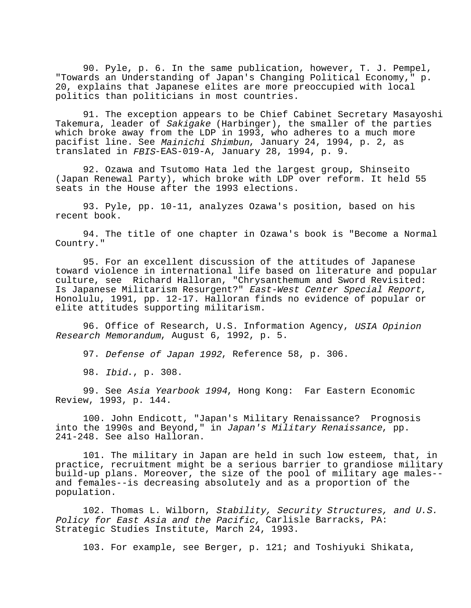90. Pyle, p. 6. In the same publication, however, T. J. Pempel, "Towards an Understanding of Japan's Changing Political Economy," p. 20, explains that Japanese elites are more preoccupied with local politics than politicians in most countries.

91. The exception appears to be Chief Cabinet Secretary Masayoshi Takemura, leader of Sakigake (Harbinger), the smaller of the parties which broke away from the LDP in 1993, who adheres to a much more pacifist line. See Mainichi Shimbun, January 24, 1994, p. 2, as translated in FBIS-EAS-019-A, January 28, 1994, p. 9.

92. Ozawa and Tsutomo Hata led the largest group, Shinseito (Japan Renewal Party), which broke with LDP over reform. It held 55 seats in the House after the 1993 elections.

93. Pyle, pp. 10-11, analyzes Ozawa's position, based on his recent book.

94. The title of one chapter in Ozawa's book is "Become a Normal Country."

95. For an excellent discussion of the attitudes of Japanese toward violence in international life based on literature and popular culture, see Richard Halloran, "Chrysanthemum and Sword Revisited: Is Japanese Militarism Resurgent?" East-West Center Special Report, Honolulu, 1991, pp. 12-17. Halloran finds no evidence of popular or elite attitudes supporting militarism.

96. Office of Research, U.S. Information Agency, USIA Opinion Research Memorandum, August 6, 1992, p. 5.

97. Defense of Japan 1992, Reference 58, p. 306.

98. Ibid., p. 308.

99. See Asia Yearbook 1994, Hong Kong: Far Eastern Economic Review, 1993, p. 144.

100. John Endicott, "Japan's Military Renaissance? Prognosis into the 1990s and Beyond," in Japan's Military Renaissance, pp. 241-248. See also Halloran.

101. The military in Japan are held in such low esteem, that, in practice, recruitment might be a serious barrier to grandiose military build-up plans. Moreover, the size of the pool of military age males- and females--is decreasing absolutely and as a proportion of the population.

102. Thomas L. Wilborn, Stability, Security Structures, and U.S. Policy for East Asia and the Pacific, Carlisle Barracks, PA: Strategic Studies Institute, March 24, 1993.

103. For example, see Berger, p. 121; and Toshiyuki Shikata,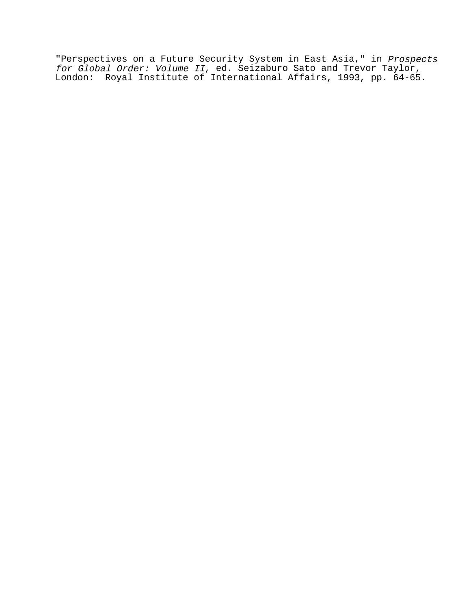"Perspectives on a Future Security System in East Asia," in Prospects for Global Order: Volume II, ed. Seizaburo Sato and Trevor Taylor, London: Royal Institute of International Affairs, 1993, pp. 64-65.